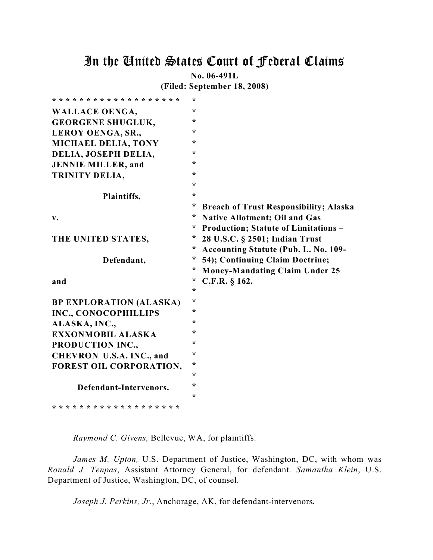# In the United States Court of Federal Claims

**No. 06-491L**

**(Filed: September 18, 2008)**

| * * * * * * * * * * * * * * * * * * * | $\star$ |                                               |
|---------------------------------------|---------|-----------------------------------------------|
| <b>WALLACE OENGA,</b>                 | $\star$ |                                               |
| <b>GEORGENE SHUGLUK,</b>              | $\star$ |                                               |
| LEROY OENGA, SR.,                     | $\star$ |                                               |
| <b>MICHAEL DELIA, TONY</b>            | $\ast$  |                                               |
| DELIA, JOSEPH DELIA,                  | $\ast$  |                                               |
| <b>JENNIE MILLER, and</b>             | $\star$ |                                               |
| TRINITY DELIA,                        | $\star$ |                                               |
|                                       | $\star$ |                                               |
| Plaintiffs,                           | $\star$ |                                               |
|                                       | *       | <b>Breach of Trust Responsibility; Alaska</b> |
| v.                                    | *       | <b>Native Allotment; Oil and Gas</b>          |
|                                       | *       | <b>Production; Statute of Limitations -</b>   |
| THE UNITED STATES,                    | *       | 28 U.S.C. § 2501; Indian Trust                |
|                                       | *       | Accounting Statute (Pub. L. No. 109-          |
|                                       |         |                                               |
| Defendant,                            | $\ast$  | 54); Continuing Claim Doctrine;               |
|                                       | *       | <b>Money-Mandating Claim Under 25</b>         |
| and                                   | *       | C.F.R. § 162.                                 |
|                                       | $\star$ |                                               |
| <b>BP EXPLORATION (ALASKA)</b>        | $\star$ |                                               |
| INC., CONOCOPHILLIPS                  | $\ast$  |                                               |
| ALASKA, INC.,                         | ÷       |                                               |
| EXXONMOBIL ALASKA                     | $\ast$  |                                               |
| PRODUCTION INC.,                      | $\ast$  |                                               |
| CHEVRON U.S.A. INC., and              | $\star$ |                                               |
| FOREST OIL CORPORATION,               | $\star$ |                                               |
|                                       | $\ast$  |                                               |
| Defendant-Intervenors.                | $\star$ |                                               |
|                                       | $\ast$  |                                               |

*Raymond C. Givens,* Bellevue, WA, for plaintiffs.

*James M. Upton,* U.S. Department of Justice, Washington, DC, with whom was *Ronald J. Tenpas*, Assistant Attorney General, for defendant. *Samantha Klein*, U.S. Department of Justice, Washington, DC, of counsel.

*Joseph J. Perkins, Jr.*, Anchorage, AK, for defendant-intervenors*.*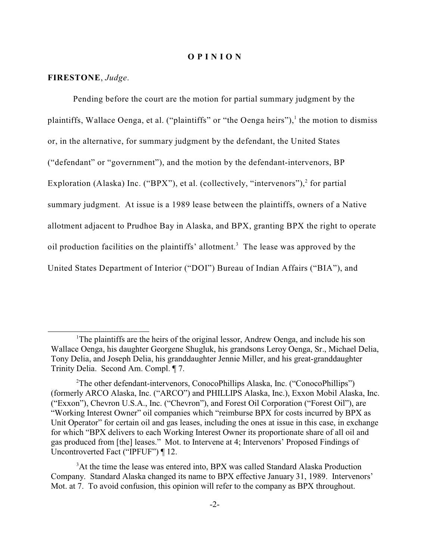#### **O P I N I O N**

#### **FIRESTONE**, *Judge*.

Pending before the court are the motion for partial summary judgment by the plaintiffs, Wallace Oenga, et al. ("plaintiffs" or "the Oenga heirs"), the motion to dismiss or, in the alternative, for summary judgment by the defendant, the United States ("defendant" or "government"), and the motion by the defendant-intervenors, BP Exploration (Alaska) Inc. ("BPX"), et al. (collectively, "intervenors"),  $2$  for partial summary judgment. At issue is a 1989 lease between the plaintiffs, owners of a Native allotment adjacent to Prudhoe Bay in Alaska, and BPX, granting BPX the right to operate oil production facilities on the plaintiffs' allotment.<sup>3</sup> The lease was approved by the United States Department of Interior ("DOI") Bureau of Indian Affairs ("BIA"), and

<sup>&</sup>lt;sup>1</sup>The plaintiffs are the heirs of the original lessor, Andrew Oenga, and include his son Wallace Oenga, his daughter Georgene Shugluk, his grandsons Leroy Oenga, Sr., Michael Delia, Tony Delia, and Joseph Delia, his granddaughter Jennie Miller, and his great-granddaughter Trinity Delia. Second Am. Compl. ¶ 7.

<sup>&</sup>lt;sup>2</sup>The other defendant-intervenors, ConocoPhillips Alaska, Inc. ("ConocoPhillips") (formerly ARCO Alaska, Inc. ("ARCO") and PHILLIPS Alaska, Inc.), Exxon Mobil Alaska, Inc. ("Exxon"), Chevron U.S.A., Inc. ("Chevron"), and Forest Oil Corporation ("Forest Oil"), are "Working Interest Owner" oil companies which "reimburse BPX for costs incurred by BPX as Unit Operator" for certain oil and gas leases, including the ones at issue in this case, in exchange for which "BPX delivers to each Working Interest Owner its proportionate share of all oil and gas produced from [the] leases." Mot. to Intervene at 4; Intervenors' Proposed Findings of Uncontroverted Fact ("IPFUF") ¶ 12.

<sup>&</sup>lt;sup>3</sup>At the time the lease was entered into, BPX was called Standard Alaska Production Company. Standard Alaska changed its name to BPX effective January 31, 1989. Intervenors' Mot. at 7. To avoid confusion, this opinion will refer to the company as BPX throughout.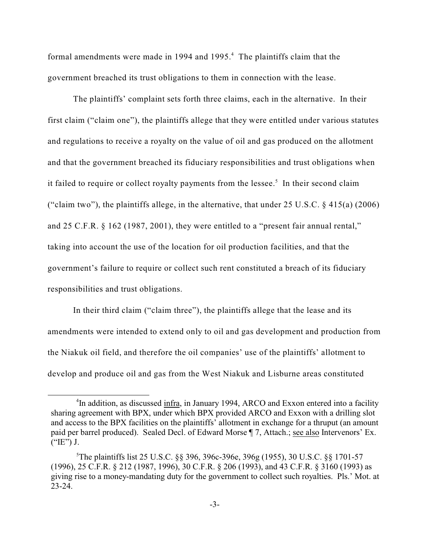formal amendments were made in 1994 and 1995.<sup>4</sup> The plaintiffs claim that the government breached its trust obligations to them in connection with the lease.

The plaintiffs' complaint sets forth three claims, each in the alternative. In their first claim ("claim one"), the plaintiffs allege that they were entitled under various statutes and regulations to receive a royalty on the value of oil and gas produced on the allotment and that the government breached its fiduciary responsibilities and trust obligations when it failed to require or collect royalty payments from the lessee.<sup>5</sup> In their second claim ("claim two"), the plaintiffs allege, in the alternative, that under  $25 \text{ U.S.C.}$  §  $415(a)$  (2006) and 25 C.F.R. § 162 (1987, 2001), they were entitled to a "present fair annual rental," taking into account the use of the location for oil production facilities, and that the government's failure to require or collect such rent constituted a breach of its fiduciary responsibilities and trust obligations.

In their third claim ("claim three"), the plaintiffs allege that the lease and its amendments were intended to extend only to oil and gas development and production from the Niakuk oil field, and therefore the oil companies' use of the plaintiffs' allotment to develop and produce oil and gas from the West Niakuk and Lisburne areas constituted

<sup>&</sup>lt;sup>4</sup>In addition, as discussed infra, in January 1994, ARCO and Exxon entered into a facility sharing agreement with BPX, under which BPX provided ARCO and Exxon with a drilling slot and access to the BPX facilities on the plaintiffs' allotment in exchange for a thruput (an amount paid per barrel produced). Sealed Decl. of Edward Morse ¶ 7, Attach.; see also Intervenors' Ex.  $("E")$  J.

The plaintiffs list 25 U.S.C. §§ 396, 396c-396e, 396g (1955), 30 U.S.C. §§ 1701-57 <sup>5</sup> (1996), 25 C.F.R. § 212 (1987, 1996), 30 C.F.R. § 206 (1993), and 43 C.F.R. § 3160 (1993) as giving rise to a money-mandating duty for the government to collect such royalties. Pls.' Mot. at 23-24.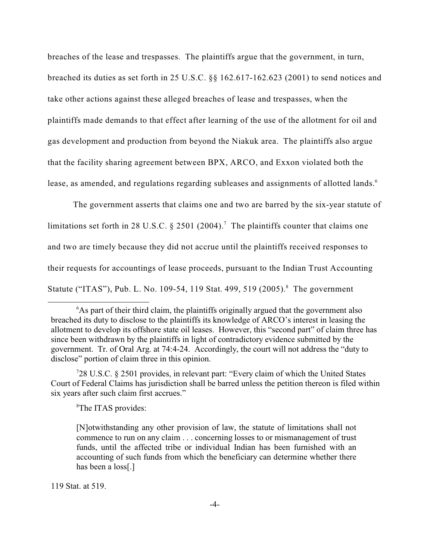breaches of the lease and trespasses. The plaintiffs argue that the government, in turn, breached its duties as set forth in 25 U.S.C. §§ 162.617-162.623 (2001) to send notices and take other actions against these alleged breaches of lease and trespasses, when the plaintiffs made demands to that effect after learning of the use of the allotment for oil and gas development and production from beyond the Niakuk area. The plaintiffs also argue that the facility sharing agreement between BPX, ARCO, and Exxon violated both the lease, as amended, and regulations regarding subleases and assignments of allotted lands.<sup>6</sup>

The government asserts that claims one and two are barred by the six-year statute of limitations set forth in 28 U.S.C. § 2501 (2004).<sup>7</sup> The plaintiffs counter that claims one and two are timely because they did not accrue until the plaintiffs received responses to their requests for accountings of lease proceeds, pursuant to the Indian Trust Accounting Statute ("ITAS"), Pub. L. No. 109-54, 119 Stat. 499, 519 (2005).<sup>8</sup> The government

28 U.S.C. § 2501 provides, in relevant part: "Every claim of which the United States <sup>7</sup> Court of Federal Claims has jurisdiction shall be barred unless the petition thereon is filed within six years after such claim first accrues."

<sup>8</sup>The ITAS provides:

119 Stat. at 519.

 $6$ As part of their third claim, the plaintiffs originally argued that the government also breached its duty to disclose to the plaintiffs its knowledge of ARCO's interest in leasing the allotment to develop its offshore state oil leases. However, this "second part" of claim three has since been withdrawn by the plaintiffs in light of contradictory evidence submitted by the government. Tr. of Oral Arg. at 74:4-24. Accordingly, the court will not address the "duty to disclose" portion of claim three in this opinion.

<sup>[</sup>N]otwithstanding any other provision of law, the statute of limitations shall not commence to run on any claim . . . concerning losses to or mismanagement of trust funds, until the affected tribe or individual Indian has been furnished with an accounting of such funds from which the beneficiary can determine whether there has been a loss[.]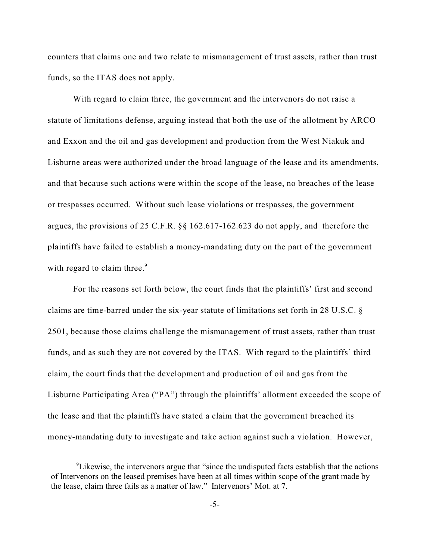counters that claims one and two relate to mismanagement of trust assets, rather than trust funds, so the ITAS does not apply.

With regard to claim three, the government and the intervenors do not raise a statute of limitations defense, arguing instead that both the use of the allotment by ARCO and Exxon and the oil and gas development and production from the West Niakuk and Lisburne areas were authorized under the broad language of the lease and its amendments, and that because such actions were within the scope of the lease, no breaches of the lease or trespasses occurred. Without such lease violations or trespasses, the government argues, the provisions of 25 C.F.R. §§ 162.617-162.623 do not apply, and therefore the plaintiffs have failed to establish a money-mandating duty on the part of the government with regard to claim three.<sup>9</sup>

For the reasons set forth below, the court finds that the plaintiffs' first and second claims are time-barred under the six-year statute of limitations set forth in 28 U.S.C. § 2501, because those claims challenge the mismanagement of trust assets, rather than trust funds, and as such they are not covered by the ITAS. With regard to the plaintiffs' third claim, the court finds that the development and production of oil and gas from the Lisburne Participating Area ("PA") through the plaintiffs' allotment exceeded the scope of the lease and that the plaintiffs have stated a claim that the government breached its money-mandating duty to investigate and take action against such a violation. However,

<sup>&</sup>lt;sup>9</sup> Likewise, the intervenors argue that "since the undisputed facts establish that the actions of Intervenors on the leased premises have been at all times within scope of the grant made by the lease, claim three fails as a matter of law." Intervenors' Mot. at 7.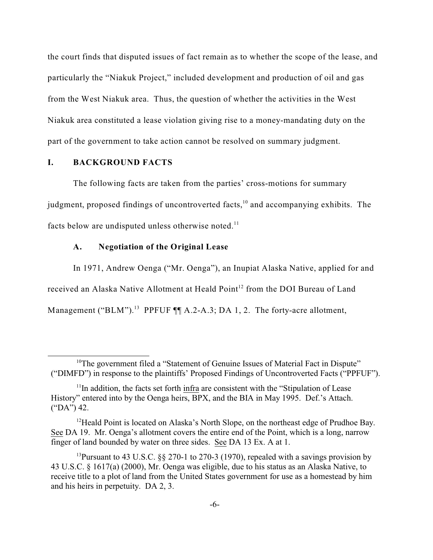the court finds that disputed issues of fact remain as to whether the scope of the lease, and particularly the "Niakuk Project," included development and production of oil and gas from the West Niakuk area. Thus, the question of whether the activities in the West Niakuk area constituted a lease violation giving rise to a money-mandating duty on the part of the government to take action cannot be resolved on summary judgment.

# **I. BACKGROUND FACTS**

The following facts are taken from the parties' cross-motions for summary judgment, proposed findings of uncontroverted facts,  $10$  and accompanying exhibits. The facts below are undisputed unless otherwise noted.<sup>11</sup>

# **A. Negotiation of the Original Lease**

In 1971, Andrew Oenga ("Mr. Oenga"), an Inupiat Alaska Native, applied for and received an Alaska Native Allotment at Heald Point<sup>12</sup> from the DOI Bureau of Land Management ("BLM").<sup>13</sup> PPFUF  $\P\P$  A.2-A.3; DA 1, 2. The forty-acre allotment,

 $10$ <sup>10</sup>The government filed a "Statement of Genuine Issues of Material Fact in Dispute" ("DIMFD") in response to the plaintiffs' Proposed Findings of Uncontroverted Facts ("PPFUF").

 $11$ In addition, the facts set forth infra are consistent with the "Stipulation of Lease" History" entered into by the Oenga heirs, BPX, and the BIA in May 1995. Def.'s Attach. ("DA") 42.

 $12$ Heald Point is located on Alaska's North Slope, on the northeast edge of Prudhoe Bay. See DA 19. Mr. Oenga's allotment covers the entire end of the Point, which is a long, narrow finger of land bounded by water on three sides. See DA 13 Ex. A at 1.

<sup>&</sup>lt;sup>13</sup> Pursuant to 43 U.S.C.  $\S$  270-1 to 270-3 (1970), repealed with a savings provision by 43 U.S.C. § 1617(a) (2000), Mr. Oenga was eligible, due to his status as an Alaska Native, to receive title to a plot of land from the United States government for use as a homestead by him and his heirs in perpetuity. DA 2, 3.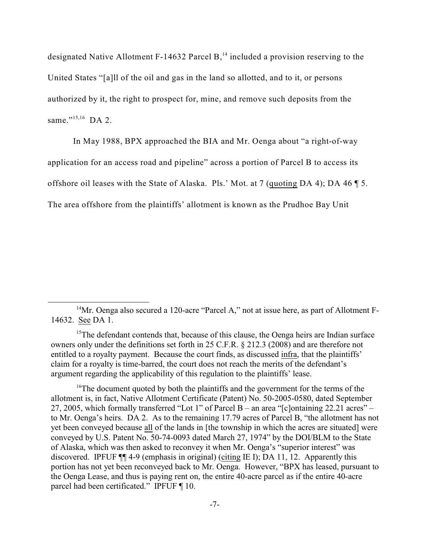designated Native Allotment F-14632 Parcel  $B<sub>14</sub>$  included a provision reserving to the United States "[a]ll of the oil and gas in the land so allotted, and to it, or persons authorized by it, the right to prospect for, mine, and remove such deposits from the same."<sup>15,16</sup> DA 2.

In May 1988, BPX approached the BIA and Mr. Oenga about "a right-of-way application for an access road and pipeline" across a portion of Parcel B to access its offshore oil leases with the State of Alaska. Pls.' Mot. at 7 (quoting DA 4); DA 46 ¶ 5. The area offshore from the plaintiffs' allotment is known as the Prudhoe Bay Unit

<sup>&</sup>lt;sup>14</sup>Mr. Oenga also secured a 120-acre "Parcel A," not at issue here, as part of Allotment F-14632. See DA 1.

 $15$ The defendant contends that, because of this clause, the Oenga heirs are Indian surface owners only under the definitions set forth in 25 C.F.R. § 212.3 (2008) and are therefore not entitled to a royalty payment. Because the court finds, as discussed infra, that the plaintiffs' claim for a royalty is time-barred, the court does not reach the merits of the defendant's argument regarding the applicability of this regulation to the plaintiffs' lease.

<sup>&</sup>lt;sup>16</sup>The document quoted by both the plaintiffs and the government for the terms of the allotment is, in fact, Native Allotment Certificate (Patent) No. 50-2005-0580, dated September 27, 2005, which formally transferred "Lot 1" of Parcel B – an area "[c]ontaining 22.21 acres" – to Mr. Oenga's heirs. DA 2. As to the remaining 17.79 acres of Parcel B, "the allotment has not yet been conveyed because all of the lands in [the township in which the acres are situated] were conveyed by U.S. Patent No. 50-74-0093 dated March 27, 1974" by the DOI/BLM to the State of Alaska, which was then asked to reconvey it when Mr. Oenga's "superior interest" was discovered. IPFUF ¶¶ 4-9 (emphasis in original) (citing IE I); DA 11, 12. Apparently this portion has not yet been reconveyed back to Mr. Oenga. However, "BPX has leased, pursuant to the Oenga Lease, and thus is paying rent on, the entire 40-acre parcel as if the entire 40-acre parcel had been certificated." IPFUF ¶ 10.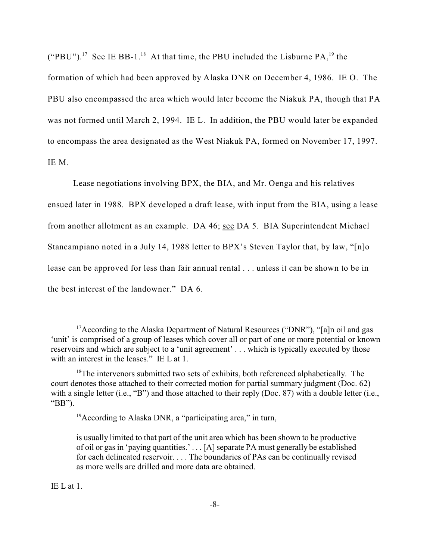("PBU").<sup>17</sup> See IE BB-1.<sup>18</sup> At that time, the PBU included the Lisburne PA,<sup>19</sup> the

formation of which had been approved by Alaska DNR on December 4, 1986. IE O. The PBU also encompassed the area which would later become the Niakuk PA, though that PA was not formed until March 2, 1994. IE L. In addition, the PBU would later be expanded to encompass the area designated as the West Niakuk PA, formed on November 17, 1997. IE M.

Lease negotiations involving BPX, the BIA, and Mr. Oenga and his relatives ensued later in 1988. BPX developed a draft lease, with input from the BIA, using a lease from another allotment as an example. DA 46; see DA 5. BIA Superintendent Michael Stancampiano noted in a July 14, 1988 letter to BPX's Steven Taylor that, by law, "[n]o lease can be approved for less than fair annual rental . . . unless it can be shown to be in the best interest of the landowner." DA 6.

IE L at 1.

<sup>&</sup>lt;sup>17</sup> According to the Alaska Department of Natural Resources ("DNR"), "[a]n oil and gas 'unit' is comprised of a group of leases which cover all or part of one or more potential or known reservoirs and which are subject to a 'unit agreement' . . . which is typically executed by those with an interest in the leases." IE L at 1.

 $18$ The intervenors submitted two sets of exhibits, both referenced alphabetically. The court denotes those attached to their corrected motion for partial summary judgment (Doc. 62) with a single letter (i.e., "B") and those attached to their reply (Doc. 87) with a double letter (i.e., "BB").

 $19$ According to Alaska DNR, a "participating area," in turn,

is usually limited to that part of the unit area which has been shown to be productive of oil or gas in 'paying quantities.' . . . [A] separate PA must generally be established for each delineated reservoir. . . . The boundaries of PAs can be continually revised as more wells are drilled and more data are obtained.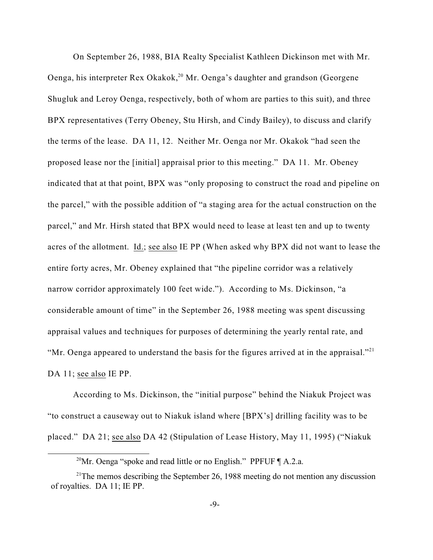On September 26, 1988, BIA Realty Specialist Kathleen Dickinson met with Mr. Oenga, his interpreter Rex Okakok,  $20$  Mr. Oenga's daughter and grandson (Georgene Shugluk and Leroy Oenga, respectively, both of whom are parties to this suit), and three BPX representatives (Terry Obeney, Stu Hirsh, and Cindy Bailey), to discuss and clarify the terms of the lease. DA 11, 12. Neither Mr. Oenga nor Mr. Okakok "had seen the proposed lease nor the [initial] appraisal prior to this meeting." DA 11. Mr. Obeney indicated that at that point, BPX was "only proposing to construct the road and pipeline on the parcel," with the possible addition of "a staging area for the actual construction on the parcel," and Mr. Hirsh stated that BPX would need to lease at least ten and up to twenty acres of the allotment. Id.; see also IE PP (When asked why BPX did not want to lease the entire forty acres, Mr. Obeney explained that "the pipeline corridor was a relatively narrow corridor approximately 100 feet wide."). According to Ms. Dickinson, "a considerable amount of time" in the September 26, 1988 meeting was spent discussing appraisal values and techniques for purposes of determining the yearly rental rate, and "Mr. Oenga appeared to understand the basis for the figures arrived at in the appraisal."<sup>21</sup> DA 11; see also IE PP.

According to Ms. Dickinson, the "initial purpose" behind the Niakuk Project was "to construct a causeway out to Niakuk island where [BPX's] drilling facility was to be placed." DA 21; see also DA 42 (Stipulation of Lease History, May 11, 1995) ("Niakuk

<sup>&</sup>lt;sup>20</sup>Mr. Oenga "spoke and read little or no English." PPFUF  $\P$  A.2.a.

 $21$ <sup>21</sup>The memos describing the September 26, 1988 meeting do not mention any discussion of royalties. DA 11; IE PP.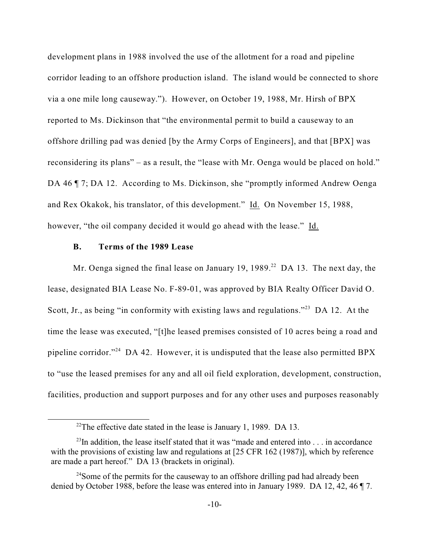development plans in 1988 involved the use of the allotment for a road and pipeline corridor leading to an offshore production island. The island would be connected to shore via a one mile long causeway."). However, on October 19, 1988, Mr. Hirsh of BPX reported to Ms. Dickinson that "the environmental permit to build a causeway to an offshore drilling pad was denied [by the Army Corps of Engineers], and that [BPX] was reconsidering its plans" – as a result, the "lease with Mr. Oenga would be placed on hold." DA 46  $\P$  7; DA 12. According to Ms. Dickinson, she "promptly informed Andrew Oenga and Rex Okakok, his translator, of this development." Id. On November 15, 1988, however, "the oil company decided it would go ahead with the lease." Id.

# **B. Terms of the 1989 Lease**

Mr. Oenga signed the final lease on January 19, 1989.<sup>22</sup> DA 13. The next day, the lease, designated BIA Lease No. F-89-01, was approved by BIA Realty Officer David O. Scott, Jr., as being "in conformity with existing laws and regulations."<sup>23</sup> DA 12. At the time the lease was executed, "[t]he leased premises consisted of 10 acres being a road and pipeline corridor."<sup>24</sup> DA 42. However, it is undisputed that the lease also permitted BPX to "use the leased premises for any and all oil field exploration, development, construction, facilities, production and support purposes and for any other uses and purposes reasonably

<sup>&</sup>lt;sup>22</sup>The effective date stated in the lease is January 1, 1989. DA 13.

 $^{23}$ In addition, the lease itself stated that it was "made and entered into ... in accordance with the provisions of existing law and regulations at [25 CFR 162 (1987)], which by reference are made a part hereof." DA 13 (brackets in original).

 $^{24}$ Some of the permits for the causeway to an offshore drilling pad had already been denied by October 1988, before the lease was entered into in January 1989. DA 12, 42, 46 ¶ 7.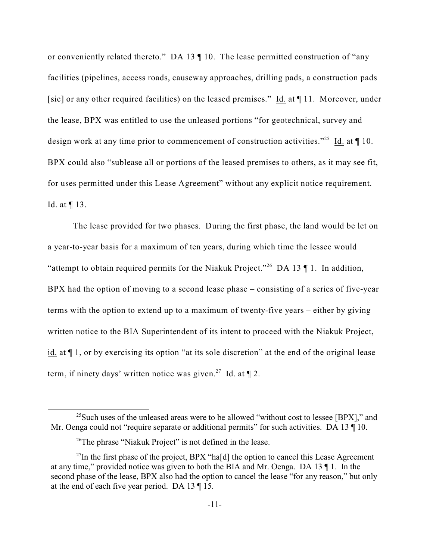or conveniently related thereto." DA 13 ¶ 10. The lease permitted construction of "any facilities (pipelines, access roads, causeway approaches, drilling pads, a construction pads [sic] or any other required facilities) on the leased premises." Id. at ¶ 11. Moreover, under the lease, BPX was entitled to use the unleased portions "for geotechnical, survey and design work at any time prior to commencement of construction activities."<sup>25</sup> Id. at  $\P$  10. BPX could also "sublease all or portions of the leased premises to others, as it may see fit, for uses permitted under this Lease Agreement" without any explicit notice requirement. Id. at ¶ 13.

The lease provided for two phases. During the first phase, the land would be let on a year-to-year basis for a maximum of ten years, during which time the lessee would "attempt to obtain required permits for the Niakuk Project."<sup>26</sup> DA 13  $\P$  1. In addition, BPX had the option of moving to a second lease phase – consisting of a series of five-year terms with the option to extend up to a maximum of twenty-five years – either by giving written notice to the BIA Superintendent of its intent to proceed with the Niakuk Project, id. at ¶ 1, or by exercising its option "at its sole discretion" at the end of the original lease term, if ninety days' written notice was given.<sup>27</sup> Id. at  $\P$  2.

 $^{25}$ Such uses of the unleased areas were to be allowed "without cost to lessee [BPX]," and Mr. Oenga could not "require separate or additional permits" for such activities. DA 13  $\P$  10.

 $26$ The phrase "Niakuk Project" is not defined in the lease.

 $^{27}$ In the first phase of the project, BPX "ha[d] the option to cancel this Lease Agreement at any time," provided notice was given to both the BIA and Mr. Oenga. DA 13 ¶ 1. In the second phase of the lease, BPX also had the option to cancel the lease "for any reason," but only at the end of each five year period. DA 13 ¶ 15.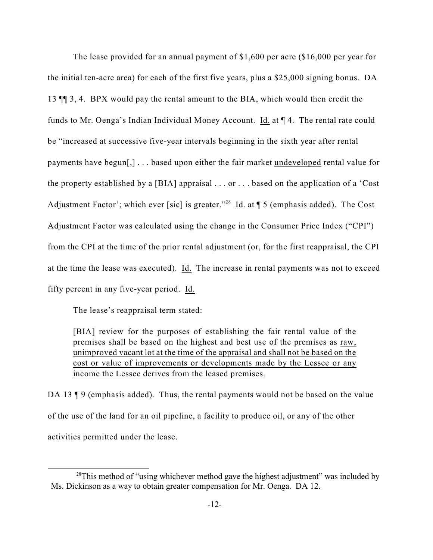The lease provided for an annual payment of \$1,600 per acre (\$16,000 per year for the initial ten-acre area) for each of the first five years, plus a \$25,000 signing bonus. DA 13 ¶¶ 3, 4. BPX would pay the rental amount to the BIA, which would then credit the funds to Mr. Oenga's Indian Individual Money Account. Id. at ¶ 4. The rental rate could be "increased at successive five-year intervals beginning in the sixth year after rental payments have begun[,] . . . based upon either the fair market undeveloped rental value for the property established by a [BIA] appraisal . . . or . . . based on the application of a 'Cost Adjustment Factor'; which ever [sic] is greater."<sup>28</sup> Id. at  $\P$  5 (emphasis added). The Cost Adjustment Factor was calculated using the change in the Consumer Price Index ("CPI") from the CPI at the time of the prior rental adjustment (or, for the first reappraisal, the CPI at the time the lease was executed). Id. The increase in rental payments was not to exceed fifty percent in any five-year period. Id.

The lease's reappraisal term stated:

[BIA] review for the purposes of establishing the fair rental value of the premises shall be based on the highest and best use of the premises as raw, unimproved vacant lot at the time of the appraisal and shall not be based on the cost or value of improvements or developments made by the Lessee or any income the Lessee derives from the leased premises.

DA 13  $\parallel$  9 (emphasis added). Thus, the rental payments would not be based on the value of the use of the land for an oil pipeline, a facility to produce oil, or any of the other activities permitted under the lease.

 $28$ This method of "using whichever method gave the highest adjustment" was included by Ms. Dickinson as a way to obtain greater compensation for Mr. Oenga. DA 12.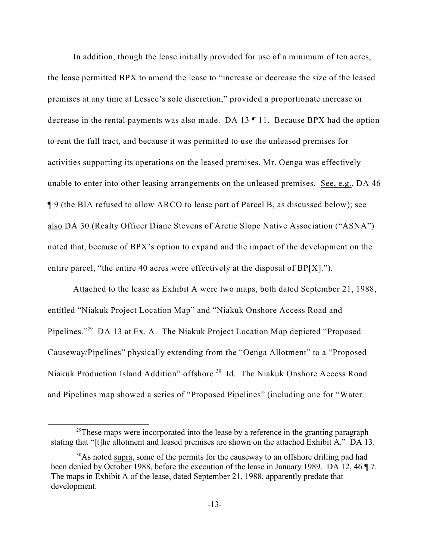In addition, though the lease initially provided for use of a minimum of ten acres, the lease permitted BPX to amend the lease to "increase or decrease the size of the leased premises at any time at Lessee's sole discretion," provided a proportionate increase or decrease in the rental payments was also made. DA 13 ¶ 11. Because BPX had the option to rent the full tract, and because it was permitted to use the unleased premises for activities supporting its operations on the leased premises, Mr. Oenga was effectively unable to enter into other leasing arrangements on the unleased premises. See, e.g., DA 46 ¶ 9 (the BIA refused to allow ARCO to lease part of Parcel B, as discussed below); see also DA 30 (Realty Officer Diane Stevens of Arctic Slope Native Association ("ASNA") noted that, because of BPX's option to expand and the impact of the development on the entire parcel, "the entire 40 acres were effectively at the disposal of BP[X].").

Attached to the lease as Exhibit A were two maps, both dated September 21, 1988, entitled "Niakuk Project Location Map" and "Niakuk Onshore Access Road and Pipelines."<sup>29</sup> DA 13 at Ex. A. The Niakuk Project Location Map depicted "Proposed" Causeway/Pipelines" physically extending from the "Oenga Allotment" to a "Proposed Niakuk Production Island Addition" offshore.<sup>30</sup> Id. The Niakuk Onshore Access Road and Pipelines map showed a series of "Proposed Pipelines" (including one for "Water

 $29$ <sup>29</sup>These maps were incorporated into the lease by a reference in the granting paragraph stating that "[t]he allotment and leased premises are shown on the attached Exhibit A." DA 13.

 $30$ As noted supra, some of the permits for the causeway to an offshore drilling pad had been denied by October 1988, before the execution of the lease in January 1989. DA 12, 46 ¶ 7. The maps in Exhibit A of the lease, dated September 21, 1988, apparently predate that development.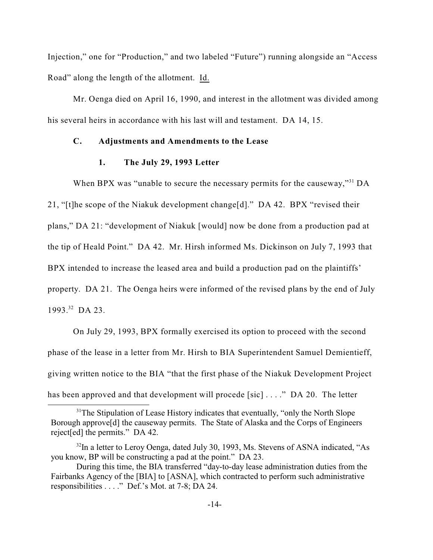Injection," one for "Production," and two labeled "Future") running alongside an "Access Road" along the length of the allotment. Id.

Mr. Oenga died on April 16, 1990, and interest in the allotment was divided among his several heirs in accordance with his last will and testament. DA 14, 15.

## **C. Adjustments and Amendments to the Lease**

#### **1. The July 29, 1993 Letter**

When BPX was "unable to secure the necessary permits for the causeway,"  $A<sup>31</sup>$  DA 21, "[t]he scope of the Niakuk development change[d]." DA 42. BPX "revised their plans," DA 21: "development of Niakuk [would] now be done from a production pad at the tip of Heald Point." DA 42. Mr. Hirsh informed Ms. Dickinson on July 7, 1993 that BPX intended to increase the leased area and build a production pad on the plaintiffs' property. DA 21. The Oenga heirs were informed of the revised plans by the end of July 1993.<sup>32</sup> DA 23.

On July 29, 1993, BPX formally exercised its option to proceed with the second phase of the lease in a letter from Mr. Hirsh to BIA Superintendent Samuel Demientieff, giving written notice to the BIA "that the first phase of the Niakuk Development Project has been approved and that development will procede [sic] . . . ." DA 20. The letter

<sup>&</sup>lt;sup>31</sup>The Stipulation of Lease History indicates that eventually, "only the North Slope" Borough approve<sup>[d]</sup> the causeway permits. The State of Alaska and the Corps of Engineers reject[ed] the permits." DA 42.

 $^{32}$ In a letter to Leroy Oenga, dated July 30, 1993, Ms. Stevens of ASNA indicated, "As you know, BP will be constructing a pad at the point." DA 23.

During this time, the BIA transferred "day-to-day lease administration duties from the Fairbanks Agency of the [BIA] to [ASNA], which contracted to perform such administrative responsibilities . . . ." Def.'s Mot. at 7-8; DA 24.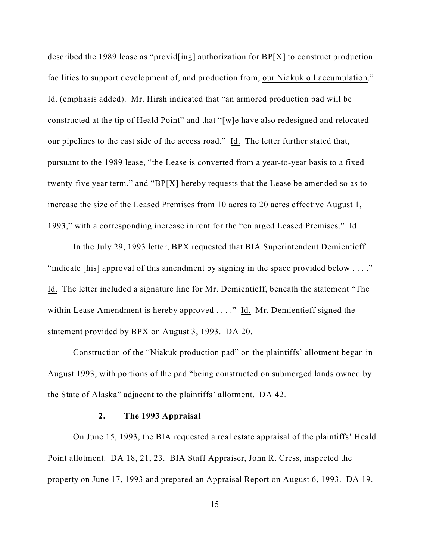described the 1989 lease as "provid[ing] authorization for BP[X] to construct production facilities to support development of, and production from, our Niakuk oil accumulation." Id. (emphasis added). Mr. Hirsh indicated that "an armored production pad will be constructed at the tip of Heald Point" and that "[w]e have also redesigned and relocated our pipelines to the east side of the access road." Id. The letter further stated that, pursuant to the 1989 lease, "the Lease is converted from a year-to-year basis to a fixed twenty-five year term," and "BP[X] hereby requests that the Lease be amended so as to increase the size of the Leased Premises from 10 acres to 20 acres effective August 1, 1993," with a corresponding increase in rent for the "enlarged Leased Premises." Id.

In the July 29, 1993 letter, BPX requested that BIA Superintendent Demientieff "indicate [his] approval of this amendment by signing in the space provided below  $\dots$ " Id. The letter included a signature line for Mr. Demientieff, beneath the statement "The within Lease Amendment is hereby approved  $\dots$ ." Id. Mr. Demientieff signed the statement provided by BPX on August 3, 1993. DA 20.

Construction of the "Niakuk production pad" on the plaintiffs' allotment began in August 1993, with portions of the pad "being constructed on submerged lands owned by the State of Alaska" adjacent to the plaintiffs' allotment. DA 42.

#### **2. The 1993 Appraisal**

On June 15, 1993, the BIA requested a real estate appraisal of the plaintiffs' Heald Point allotment. DA 18, 21, 23. BIA Staff Appraiser, John R. Cress, inspected the property on June 17, 1993 and prepared an Appraisal Report on August 6, 1993. DA 19.

-15-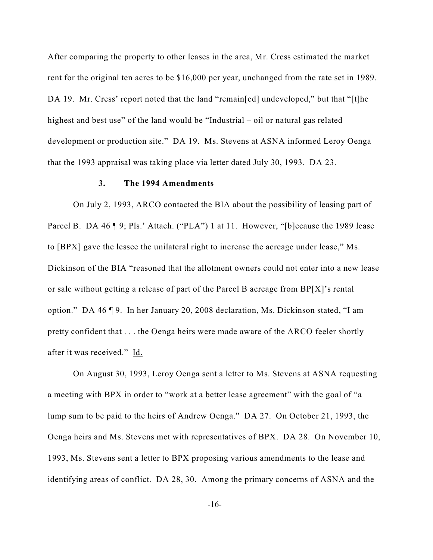After comparing the property to other leases in the area, Mr. Cress estimated the market rent for the original ten acres to be \$16,000 per year, unchanged from the rate set in 1989. DA 19. Mr. Cress' report noted that the land "remain[ed] undeveloped," but that "[t]he highest and best use" of the land would be "Industrial – oil or natural gas related development or production site." DA 19. Ms. Stevens at ASNA informed Leroy Oenga that the 1993 appraisal was taking place via letter dated July 30, 1993. DA 23.

#### **3. The 1994 Amendments**

On July 2, 1993, ARCO contacted the BIA about the possibility of leasing part of Parcel B. DA 46 ¶ 9; Pls.' Attach. ("PLA") 1 at 11. However, "[b]ecause the 1989 lease to [BPX] gave the lessee the unilateral right to increase the acreage under lease," Ms. Dickinson of the BIA "reasoned that the allotment owners could not enter into a new lease or sale without getting a release of part of the Parcel B acreage from BP[X]'s rental option." DA 46 ¶ 9. In her January 20, 2008 declaration, Ms. Dickinson stated, "I am pretty confident that . . . the Oenga heirs were made aware of the ARCO feeler shortly after it was received." Id.

On August 30, 1993, Leroy Oenga sent a letter to Ms. Stevens at ASNA requesting a meeting with BPX in order to "work at a better lease agreement" with the goal of "a lump sum to be paid to the heirs of Andrew Oenga." DA 27. On October 21, 1993, the Oenga heirs and Ms. Stevens met with representatives of BPX. DA 28. On November 10, 1993, Ms. Stevens sent a letter to BPX proposing various amendments to the lease and identifying areas of conflict. DA 28, 30. Among the primary concerns of ASNA and the

-16-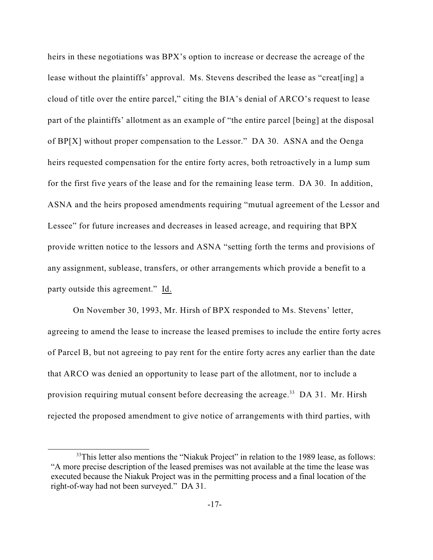heirs in these negotiations was BPX's option to increase or decrease the acreage of the lease without the plaintiffs' approval. Ms. Stevens described the lease as "creat[ing] a cloud of title over the entire parcel," citing the BIA's denial of ARCO's request to lease part of the plaintiffs' allotment as an example of "the entire parcel [being] at the disposal of BP[X] without proper compensation to the Lessor." DA 30. ASNA and the Oenga heirs requested compensation for the entire forty acres, both retroactively in a lump sum for the first five years of the lease and for the remaining lease term. DA 30. In addition, ASNA and the heirs proposed amendments requiring "mutual agreement of the Lessor and Lessee" for future increases and decreases in leased acreage, and requiring that BPX provide written notice to the lessors and ASNA "setting forth the terms and provisions of any assignment, sublease, transfers, or other arrangements which provide a benefit to a party outside this agreement." Id.

On November 30, 1993, Mr. Hirsh of BPX responded to Ms. Stevens' letter, agreeing to amend the lease to increase the leased premises to include the entire forty acres of Parcel B, but not agreeing to pay rent for the entire forty acres any earlier than the date that ARCO was denied an opportunity to lease part of the allotment, nor to include a provision requiring mutual consent before decreasing the acreage.<sup>33</sup> DA 31. Mr. Hirsh rejected the proposed amendment to give notice of arrangements with third parties, with

 $33$ This letter also mentions the "Niakuk Project" in relation to the 1989 lease, as follows: "A more precise description of the leased premises was not available at the time the lease was executed because the Niakuk Project was in the permitting process and a final location of the right-of-way had not been surveyed." DA 31.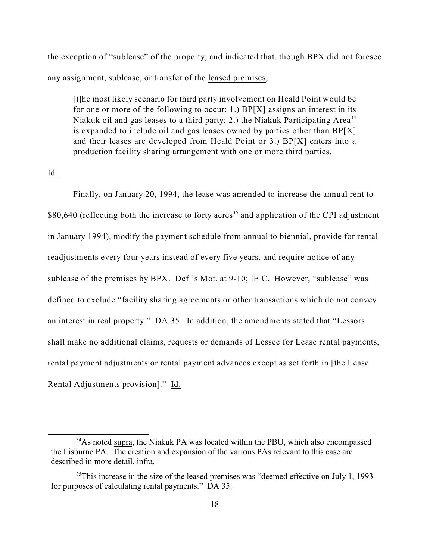the exception of "sublease" of the property, and indicated that, though BPX did not foresee any assignment, sublease, or transfer of the leased premises,

[t]he most likely scenario for third party involvement on Heald Point would be for one or more of the following to occur: 1.) BP[X] assigns an interest in its Niakuk oil and gas leases to a third party; 2.) the Niakuk Participating  $Area^{34}$ is expanded to include oil and gas leases owned by parties other than  $BP[X]$ and their leases are developed from Heald Point or 3.) BP[X] enters into a production facility sharing arrangement with one or more third parties.

Id.

Finally, on January 20, 1994, the lease was amended to increase the annual rent to  $$80,640$  (reflecting both the increase to forty acres<sup>35</sup> and application of the CPI adjustment in January 1994), modify the payment schedule from annual to biennial, provide for rental readjustments every four years instead of every five years, and require notice of any sublease of the premises by BPX. Def.'s Mot. at 9-10; IE C. However, "sublease" was defined to exclude "facility sharing agreements or other transactions which do not convey an interest in real property." DA 35. In addition, the amendments stated that "Lessors shall make no additional claims, requests or demands of Lessee for Lease rental payments, rental payment adjustments or rental payment advances except as set forth in [the Lease Rental Adjustments provision]." Id.

<sup>&</sup>lt;sup>34</sup>As noted supra, the Niakuk PA was located within the PBU, which also encompassed the Lisburne PA. The creation and expansion of the various PAs relevant to this case are described in more detail, infra.

 $35$ This increase in the size of the leased premises was "deemed effective on July 1, 1993 for purposes of calculating rental payments." DA 35.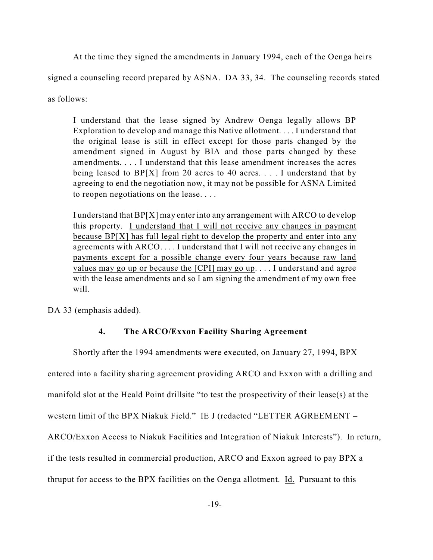At the time they signed the amendments in January 1994, each of the Oenga heirs

signed a counseling record prepared by ASNA. DA 33, 34. The counseling records stated

as follows:

I understand that the lease signed by Andrew Oenga legally allows BP Exploration to develop and manage this Native allotment. . . . I understand that the original lease is still in effect except for those parts changed by the amendment signed in August by BIA and those parts changed by these amendments. . . . I understand that this lease amendment increases the acres being leased to  $BP[X]$  from 20 acres to 40 acres. . . . I understand that by agreeing to end the negotiation now, it may not be possible for ASNA Limited to reopen negotiations on the lease. . . .

I understand that BP[X] may enter into any arrangement with ARCO to develop this property. I understand that I will not receive any changes in payment because BP[X] has full legal right to develop the property and enter into any agreements with ARCO. . . . I understand that I will not receive any changes in payments except for a possible change every four years because raw land values may go up or because the [CPI] may go up. . . . I understand and agree with the lease amendments and so I am signing the amendment of my own free will.

DA 33 (emphasis added).

# **4. The ARCO/Exxon Facility Sharing Agreement**

Shortly after the 1994 amendments were executed, on January 27, 1994, BPX

entered into a facility sharing agreement providing ARCO and Exxon with a drilling and

manifold slot at the Heald Point drillsite "to test the prospectivity of their lease(s) at the

western limit of the BPX Niakuk Field." IE J (redacted "LETTER AGREEMENT –

ARCO/Exxon Access to Niakuk Facilities and Integration of Niakuk Interests"). In return,

if the tests resulted in commercial production, ARCO and Exxon agreed to pay BPX a

thruput for access to the BPX facilities on the Oenga allotment. Id. Pursuant to this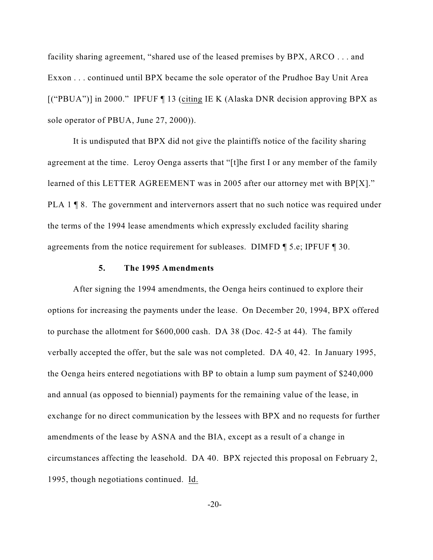facility sharing agreement, "shared use of the leased premises by BPX, ARCO . . . and Exxon . . . continued until BPX became the sole operator of the Prudhoe Bay Unit Area [("PBUA")] in 2000." IPFUF ¶ 13 (citing IE K (Alaska DNR decision approving BPX as sole operator of PBUA, June 27, 2000)).

It is undisputed that BPX did not give the plaintiffs notice of the facility sharing agreement at the time. Leroy Oenga asserts that "[t]he first I or any member of the family learned of this LETTER AGREEMENT was in 2005 after our attorney met with BP[X]." PLA 1 ¶ 8. The government and intervernors assert that no such notice was required under the terms of the 1994 lease amendments which expressly excluded facility sharing agreements from the notice requirement for subleases. DIMFD ¶ 5.e; IPFUF ¶ 30.

#### **5. The 1995 Amendments**

After signing the 1994 amendments, the Oenga heirs continued to explore their options for increasing the payments under the lease. On December 20, 1994, BPX offered to purchase the allotment for \$600,000 cash. DA 38 (Doc. 42-5 at 44). The family verbally accepted the offer, but the sale was not completed. DA 40, 42. In January 1995, the Oenga heirs entered negotiations with BP to obtain a lump sum payment of \$240,000 and annual (as opposed to biennial) payments for the remaining value of the lease, in exchange for no direct communication by the lessees with BPX and no requests for further amendments of the lease by ASNA and the BIA, except as a result of a change in circumstances affecting the leasehold. DA 40. BPX rejected this proposal on February 2, 1995, though negotiations continued. Id.

 $-20-$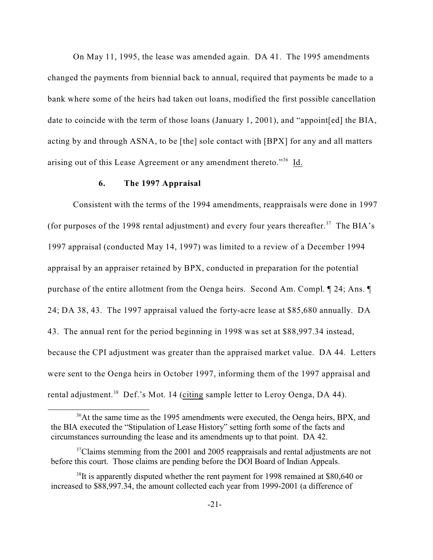On May 11, 1995, the lease was amended again. DA 41. The 1995 amendments changed the payments from biennial back to annual, required that payments be made to a bank where some of the heirs had taken out loans, modified the first possible cancellation date to coincide with the term of those loans (January 1, 2001), and "appoint[ed] the BIA, acting by and through ASNA, to be [the] sole contact with [BPX] for any and all matters arising out of this Lease Agreement or any amendment thereto."<sup>36</sup> Id.

## **6. The 1997 Appraisal**

Consistent with the terms of the 1994 amendments, reappraisals were done in 1997 (for purposes of the 1998 rental adjustment) and every four years thereafter.<sup>37</sup> The BIA's 1997 appraisal (conducted May 14, 1997) was limited to a review of a December 1994 appraisal by an appraiser retained by BPX, conducted in preparation for the potential purchase of the entire allotment from the Oenga heirs. Second Am. Compl. ¶ 24; Ans. ¶ 24; DA 38, 43. The 1997 appraisal valued the forty-acre lease at \$85,680 annually. DA 43. The annual rent for the period beginning in 1998 was set at \$88,997.34 instead, because the CPI adjustment was greater than the appraised market value. DA 44. Letters were sent to the Oenga heirs in October 1997, informing them of the 1997 appraisal and rental adjustment.<sup>38</sup> Def.'s Mot. 14 (citing sample letter to Leroy Oenga, DA 44).

<sup>&</sup>lt;sup>36</sup>At the same time as the 1995 amendments were executed, the Oenga heirs, BPX, and the BIA executed the "Stipulation of Lease History" setting forth some of the facts and circumstances surrounding the lease and its amendments up to that point. DA 42.

 $37$ Claims stemming from the 2001 and 2005 reappraisals and rental adjustments are not before this court. Those claims are pending before the DOI Board of Indian Appeals.

 $38$ It is apparently disputed whether the rent payment for 1998 remained at \$80,640 or increased to \$88,997.34, the amount collected each year from 1999-2001 (a difference of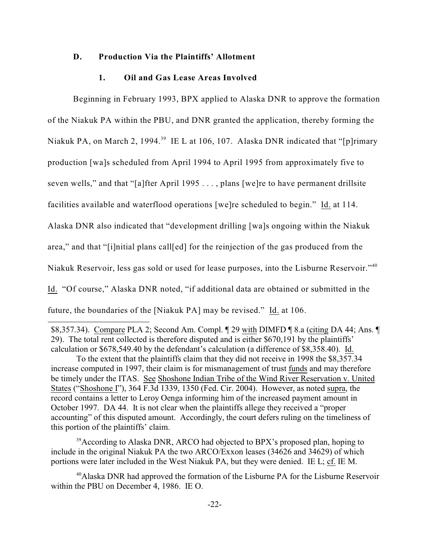#### **D. Production Via the Plaintiffs' Allotment**

#### **1. Oil and Gas Lease Areas Involved**

Beginning in February 1993, BPX applied to Alaska DNR to approve the formation of the Niakuk PA within the PBU, and DNR granted the application, thereby forming the Niakuk PA, on March 2, 1994.<sup>39</sup> IE L at 106, 107. Alaska DNR indicated that "[p]rimary production [wa]s scheduled from April 1994 to April 1995 from approximately five to seven wells," and that "[a]fter April 1995 . . . , plans [we]re to have permanent drillsite facilities available and waterflood operations [we]re scheduled to begin." Id. at 114. Alaska DNR also indicated that "development drilling [wa]s ongoing within the Niakuk area," and that "[i]nitial plans call[ed] for the reinjection of the gas produced from the Niakuk Reservoir, less gas sold or used for lease purposes, into the Lisburne Reservoir."<sup>40</sup> Id. "Of course," Alaska DNR noted, "if additional data are obtained or submitted in the future, the boundaries of the [Niakuk PA] may be revised." Id. at 106.

\$8,357.34). Compare PLA 2; Second Am. Compl. ¶ 29 with DIMFD ¶ 8.a (citing DA 44; Ans. ¶ 29). The total rent collected is therefore disputed and is either \$670,191 by the plaintiffs' calculation or \$678,549.40 by the defendant's calculation (a difference of \$8,358.40). Id.

To the extent that the plaintiffs claim that they did not receive in 1998 the \$8,357.34 increase computed in 1997, their claim is for mismanagement of trust funds and may therefore be timely under the ITAS. See Shoshone Indian Tribe of the Wind River Reservation v. United States ("Shoshone I"), 364 F.3d 1339, 1350 (Fed. Cir. 2004). However, as noted supra, the record contains a letter to Leroy Oenga informing him of the increased payment amount in October 1997. DA 44. It is not clear when the plaintiffs allege they received a "proper accounting" of this disputed amount. Accordingly, the court defers ruling on the timeliness of this portion of the plaintiffs' claim.

 $39$ According to Alaska DNR, ARCO had objected to BPX's proposed plan, hoping to include in the original Niakuk PA the two ARCO/Exxon leases (34626 and 34629) of which portions were later included in the West Niakuk PA, but they were denied. IE L; cf. IE M.

<sup>&</sup>lt;sup>40</sup> Alaska DNR had approved the formation of the Lisburne PA for the Lisburne Reservoir within the PBU on December 4, 1986. IE O.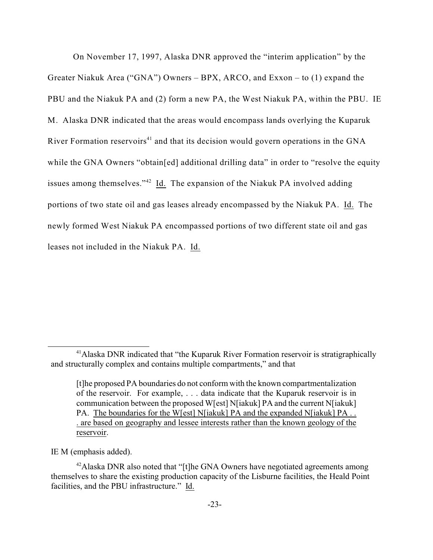On November 17, 1997, Alaska DNR approved the "interim application" by the Greater Niakuk Area ("GNA") Owners – BPX, ARCO, and Exxon – to (1) expand the PBU and the Niakuk PA and (2) form a new PA, the West Niakuk PA, within the PBU. IE M. Alaska DNR indicated that the areas would encompass lands overlying the Kuparuk River Formation reservoirs<sup> $41$ </sup> and that its decision would govern operations in the GNA while the GNA Owners "obtain[ed] additional drilling data" in order to "resolve the equity issues among themselves." $42$  Id. The expansion of the Niakuk PA involved adding portions of two state oil and gas leases already encompassed by the Niakuk PA. Id. The newly formed West Niakuk PA encompassed portions of two different state oil and gas leases not included in the Niakuk PA. Id.

IE M (emphasis added).

<sup>&</sup>lt;sup>41</sup> Alaska DNR indicated that "the Kuparuk River Formation reservoir is stratigraphically and structurally complex and contains multiple compartments," and that

<sup>[</sup>t]he proposed PA boundaries do not conform with the known compartmentalization of the reservoir. For example, . . . data indicate that the Kuparuk reservoir is in communication between the proposed W[est] N[iakuk] PA and the current N[iakuk] PA. The boundaries for the W[est] N[iakuk] PA and the expanded N[iakuk] PA... . are based on geography and lessee interests rather than the known geology of the reservoir.

 $42$ Alaska DNR also noted that "[t]he GNA Owners have negotiated agreements among themselves to share the existing production capacity of the Lisburne facilities, the Heald Point facilities, and the PBU infrastructure." Id.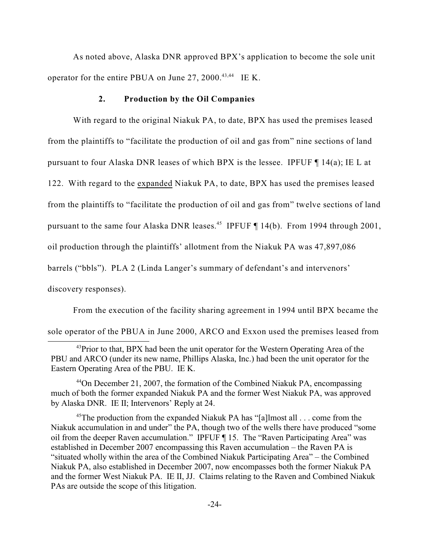As noted above, Alaska DNR approved BPX's application to become the sole unit operator for the entire PBUA on June 27, 2000.<sup>43,44</sup> IE K.

#### **2. Production by the Oil Companies**

With regard to the original Niakuk PA, to date, BPX has used the premises leased from the plaintiffs to "facilitate the production of oil and gas from" nine sections of land pursuant to four Alaska DNR leases of which BPX is the lessee. IPFUF ¶ 14(a); IE L at 122. With regard to the expanded Niakuk PA, to date, BPX has used the premises leased from the plaintiffs to "facilitate the production of oil and gas from" twelve sections of land pursuant to the same four Alaska DNR leases.<sup>45</sup> IPFUF  $\P$  14(b). From 1994 through 2001, oil production through the plaintiffs' allotment from the Niakuk PA was 47,897,086 barrels ("bbls"). PLA 2 (Linda Langer's summary of defendant's and intervenors' discovery responses).

From the execution of the facility sharing agreement in 1994 until BPX became the sole operator of the PBUA in June 2000, ARCO and Exxon used the premises leased from

 $44$ On December 21, 2007, the formation of the Combined Niakuk PA, encompassing much of both the former expanded Niakuk PA and the former West Niakuk PA, was approved by Alaska DNR. IE II; Intervenors' Reply at 24.

<sup>45</sup>The production from the expanded Niakuk PA has "[a]lmost all  $\ldots$  come from the Niakuk accumulation in and under" the PA, though two of the wells there have produced "some oil from the deeper Raven accumulation." IPFUF ¶ 15. The "Raven Participating Area" was established in December 2007 encompassing this Raven accumulation – the Raven PA is "situated wholly within the area of the Combined Niakuk Participating Area" – the Combined Niakuk PA, also established in December 2007, now encompasses both the former Niakuk PA and the former West Niakuk PA. IE II, JJ. Claims relating to the Raven and Combined Niakuk PAs are outside the scope of this litigation.

 $^{43}$ Prior to that, BPX had been the unit operator for the Western Operating Area of the PBU and ARCO (under its new name, Phillips Alaska, Inc.) had been the unit operator for the Eastern Operating Area of the PBU. IE K.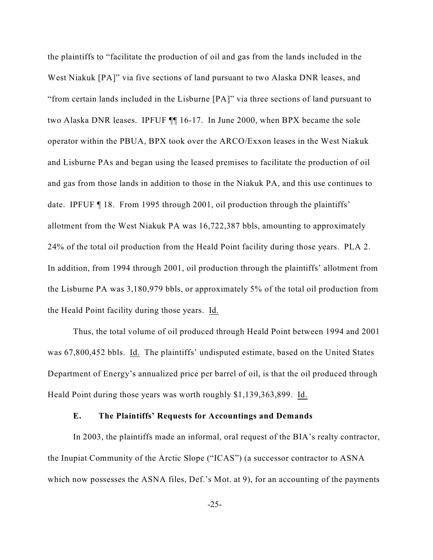the plaintiffs to "facilitate the production of oil and gas from the lands included in the West Niakuk [PA]" via five sections of land pursuant to two Alaska DNR leases, and "from certain lands included in the Lisburne [PA]" via three sections of land pursuant to two Alaska DNR leases. IPFUF ¶¶ 16-17. In June 2000, when BPX became the sole operator within the PBUA, BPX took over the ARCO/Exxon leases in the West Niakuk and Lisburne PAs and began using the leased premises to facilitate the production of oil and gas from those lands in addition to those in the Niakuk PA, and this use continues to date. IPFUF ¶ 18. From 1995 through 2001, oil production through the plaintiffs' allotment from the West Niakuk PA was 16,722,387 bbls, amounting to approximately 24% of the total oil production from the Heald Point facility during those years. PLA 2. In addition, from 1994 through 2001, oil production through the plaintiffs' allotment from the Lisburne PA was 3,180,979 bbls, or approximately 5% of the total oil production from the Heald Point facility during those years. Id.

Thus, the total volume of oil produced through Heald Point between 1994 and 2001 was 67,800,452 bbls. Id. The plaintiffs' undisputed estimate, based on the United States Department of Energy's annualized price per barrel of oil, is that the oil produced through Heald Point during those years was worth roughly \$1,139,363,899. Id.

#### **E. The Plaintiffs' Requests for Accountings and Demands**

In 2003, the plaintiffs made an informal, oral request of the BIA's realty contractor, the Inupiat Community of the Arctic Slope ("ICAS") (a successor contractor to ASNA which now possesses the ASNA files, Def.'s Mot. at 9), for an accounting of the payments

-25-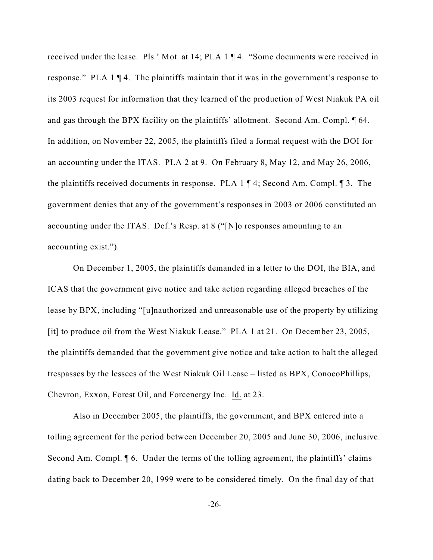received under the lease. Pls.' Mot. at 14; PLA 1 ¶ 4. "Some documents were received in response." PLA 1 ¶ 4. The plaintiffs maintain that it was in the government's response to its 2003 request for information that they learned of the production of West Niakuk PA oil and gas through the BPX facility on the plaintiffs' allotment. Second Am. Compl. ¶ 64. In addition, on November 22, 2005, the plaintiffs filed a formal request with the DOI for an accounting under the ITAS. PLA 2 at 9. On February 8, May 12, and May 26, 2006, the plaintiffs received documents in response. PLA 1 ¶ 4; Second Am. Compl. ¶ 3. The government denies that any of the government's responses in 2003 or 2006 constituted an accounting under the ITAS. Def.'s Resp. at 8 ("[N]o responses amounting to an accounting exist.").

On December 1, 2005, the plaintiffs demanded in a letter to the DOI, the BIA, and ICAS that the government give notice and take action regarding alleged breaches of the lease by BPX, including "[u]nauthorized and unreasonable use of the property by utilizing [it] to produce oil from the West Niakuk Lease." PLA 1 at 21. On December 23, 2005, the plaintiffs demanded that the government give notice and take action to halt the alleged trespasses by the lessees of the West Niakuk Oil Lease – listed as BPX, ConocoPhillips, Chevron, Exxon, Forest Oil, and Forcenergy Inc. Id. at 23.

Also in December 2005, the plaintiffs, the government, and BPX entered into a tolling agreement for the period between December 20, 2005 and June 30, 2006, inclusive. Second Am. Compl. ¶ 6. Under the terms of the tolling agreement, the plaintiffs' claims dating back to December 20, 1999 were to be considered timely. On the final day of that

-26-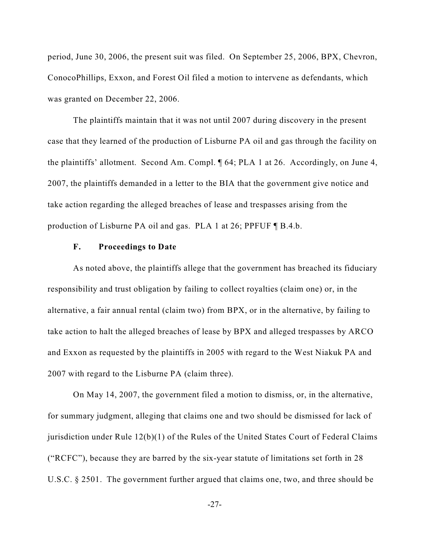period, June 30, 2006, the present suit was filed. On September 25, 2006, BPX, Chevron, ConocoPhillips, Exxon, and Forest Oil filed a motion to intervene as defendants, which was granted on December 22, 2006.

The plaintiffs maintain that it was not until 2007 during discovery in the present case that they learned of the production of Lisburne PA oil and gas through the facility on the plaintiffs' allotment. Second Am. Compl. ¶ 64; PLA 1 at 26. Accordingly, on June 4, 2007, the plaintiffs demanded in a letter to the BIA that the government give notice and take action regarding the alleged breaches of lease and trespasses arising from the production of Lisburne PA oil and gas. PLA 1 at 26; PPFUF ¶ B.4.b.

## **F. Proceedings to Date**

As noted above, the plaintiffs allege that the government has breached its fiduciary responsibility and trust obligation by failing to collect royalties (claim one) or, in the alternative, a fair annual rental (claim two) from BPX, or in the alternative, by failing to take action to halt the alleged breaches of lease by BPX and alleged trespasses by ARCO and Exxon as requested by the plaintiffs in 2005 with regard to the West Niakuk PA and 2007 with regard to the Lisburne PA (claim three).

On May 14, 2007, the government filed a motion to dismiss, or, in the alternative, for summary judgment, alleging that claims one and two should be dismissed for lack of jurisdiction under Rule 12(b)(1) of the Rules of the United States Court of Federal Claims ("RCFC"), because they are barred by the six-year statute of limitations set forth in 28 U.S.C. § 2501. The government further argued that claims one, two, and three should be

-27-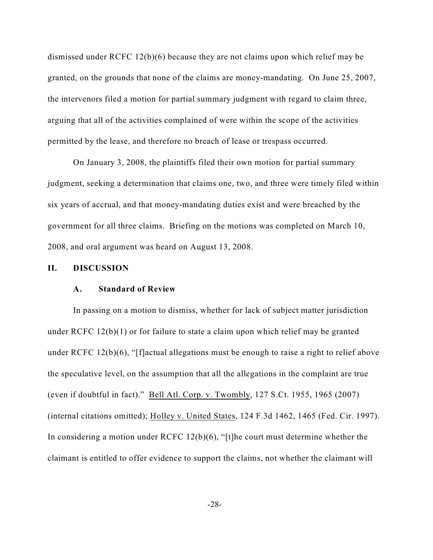dismissed under RCFC 12(b)(6) because they are not claims upon which relief may be granted, on the grounds that none of the claims are money-mandating. On June 25, 2007, the intervenors filed a motion for partial summary judgment with regard to claim three, arguing that all of the activities complained of were within the scope of the activities permitted by the lease, and therefore no breach of lease or trespass occurred.

On January 3, 2008, the plaintiffs filed their own motion for partial summary judgment, seeking a determination that claims one, two, and three were timely filed within six years of accrual, and that money-mandating duties exist and were breached by the government for all three claims. Briefing on the motions was completed on March 10, 2008, and oral argument was heard on August 13, 2008.

#### **II. DISCUSSION**

#### **A. Standard of Review**

In passing on a motion to dismiss, whether for lack of subject matter jurisdiction under RCFC 12(b)(1) or for failure to state a claim upon which relief may be granted under RCFC 12(b)(6), "[f]actual allegations must be enough to raise a right to relief above the speculative level, on the assumption that all the allegations in the complaint are true (even if doubtful in fact)." Bell Atl. Corp. v. Twombly, 127 S.Ct. 1955, 1965 (2007) (internal citations omitted); Holley v. United States, 124 F.3d 1462, 1465 (Fed. Cir. 1997). In considering a motion under RCFC 12(b)(6), "[t]he court must determine whether the claimant is entitled to offer evidence to support the claims, not whether the claimant will

-28-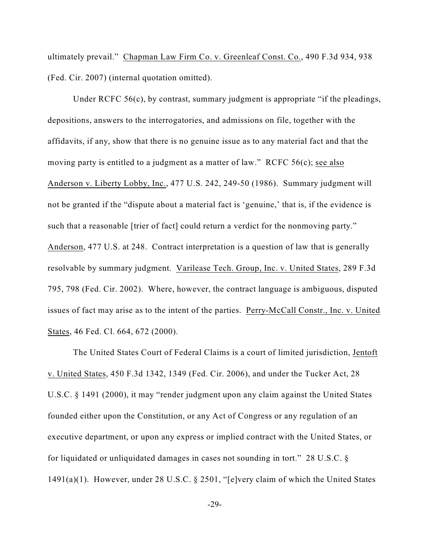ultimately prevail." Chapman Law Firm Co. v. Greenleaf Const. Co., 490 F.3d 934, 938 (Fed. Cir. 2007) (internal quotation omitted).

Under RCFC 56(c), by contrast, summary judgment is appropriate "if the pleadings, depositions, answers to the interrogatories, and admissions on file, together with the affidavits, if any, show that there is no genuine issue as to any material fact and that the moving party is entitled to a judgment as a matter of law." RCFC 56(c); see also Anderson v. Liberty Lobby, Inc., 477 U.S. 242, 249-50 (1986). Summary judgment will not be granted if the "dispute about a material fact is 'genuine,' that is, if the evidence is such that a reasonable [trier of fact] could return a verdict for the nonmoving party." Anderson, 477 U.S. at 248. Contract interpretation is a question of law that is generally resolvable by summary judgment. Varilease Tech. Group, Inc. v. United States, 289 F.3d 795, 798 (Fed. Cir. 2002). Where, however, the contract language is ambiguous, disputed issues of fact may arise as to the intent of the parties. Perry-McCall Constr., Inc. v. United States, 46 Fed. Cl. 664, 672 (2000).

The United States Court of Federal Claims is a court of limited jurisdiction, Jentoft v. United States, 450 F.3d 1342, 1349 (Fed. Cir. 2006), and under the Tucker Act, 28 U.S.C. § 1491 (2000), it may "render judgment upon any claim against the United States founded either upon the Constitution, or any Act of Congress or any regulation of an executive department, or upon any express or implied contract with the United States, or for liquidated or unliquidated damages in cases not sounding in tort." 28 U.S.C. § 1491(a)(1). However, under 28 U.S.C. § 2501, "[e]very claim of which the United States

-29-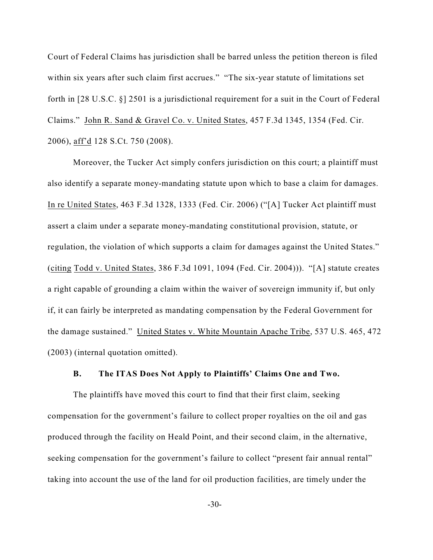Court of Federal Claims has jurisdiction shall be barred unless the petition thereon is filed within six years after such claim first accrues." "The six-year statute of limitations set forth in [28 U.S.C. §] 2501 is a jurisdictional requirement for a suit in the Court of Federal Claims." John R. Sand & Gravel Co. v. United States, 457 F.3d 1345, 1354 (Fed. Cir. 2006), aff'd 128 S.Ct. 750 (2008).

Moreover, the Tucker Act simply confers jurisdiction on this court; a plaintiff must also identify a separate money-mandating statute upon which to base a claim for damages. In re United States, 463 F.3d 1328, 1333 (Fed. Cir. 2006) ("[A] Tucker Act plaintiff must assert a claim under a separate money-mandating constitutional provision, statute, or regulation, the violation of which supports a claim for damages against the United States." (citing Todd v. United States, 386 F.3d 1091, 1094 (Fed. Cir. 2004))). "[A] statute creates a right capable of grounding a claim within the waiver of sovereign immunity if, but only if, it can fairly be interpreted as mandating compensation by the Federal Government for the damage sustained." United States v. White Mountain Apache Tribe, 537 U.S. 465, 472 (2003) (internal quotation omitted).

## **B. The ITAS Does Not Apply to Plaintiffs' Claims One and Two.**

The plaintiffs have moved this court to find that their first claim, seeking compensation for the government's failure to collect proper royalties on the oil and gas produced through the facility on Heald Point, and their second claim, in the alternative, seeking compensation for the government's failure to collect "present fair annual rental" taking into account the use of the land for oil production facilities, are timely under the

-30-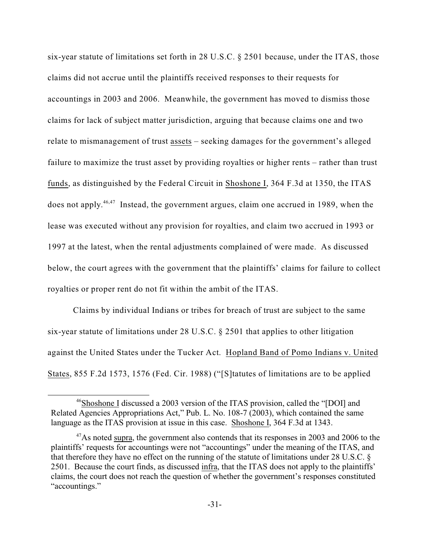six-year statute of limitations set forth in 28 U.S.C. § 2501 because, under the ITAS, those claims did not accrue until the plaintiffs received responses to their requests for accountings in 2003 and 2006. Meanwhile, the government has moved to dismiss those claims for lack of subject matter jurisdiction, arguing that because claims one and two relate to mismanagement of trust assets – seeking damages for the government's alleged failure to maximize the trust asset by providing royalties or higher rents – rather than trust funds, as distinguished by the Federal Circuit in Shoshone I, 364 F.3d at 1350, the ITAS does not apply.<sup>46,47</sup> Instead, the government argues, claim one accrued in 1989, when the lease was executed without any provision for royalties, and claim two accrued in 1993 or 1997 at the latest, when the rental adjustments complained of were made. As discussed below, the court agrees with the government that the plaintiffs' claims for failure to collect royalties or proper rent do not fit within the ambit of the ITAS.

Claims by individual Indians or tribes for breach of trust are subject to the same six-year statute of limitations under 28 U.S.C. § 2501 that applies to other litigation against the United States under the Tucker Act. Hopland Band of Pomo Indians v. United States, 855 F.2d 1573, 1576 (Fed. Cir. 1988) ("[S]tatutes of limitations are to be applied

<sup>&</sup>lt;sup>46</sup>Shoshone I discussed a 2003 version of the ITAS provision, called the "[DOI] and Related Agencies Appropriations Act," Pub. L. No. 108-7 (2003), which contained the same language as the ITAS provision at issue in this case. Shoshone I, 364 F.3d at 1343.

 $^{47}$ As noted supra, the government also contends that its responses in 2003 and 2006 to the plaintiffs' requests for accountings were not "accountings" under the meaning of the ITAS, and that therefore they have no effect on the running of the statute of limitations under 28 U.S.C. § 2501. Because the court finds, as discussed infra, that the ITAS does not apply to the plaintiffs' claims, the court does not reach the question of whether the government's responses constituted "accountings."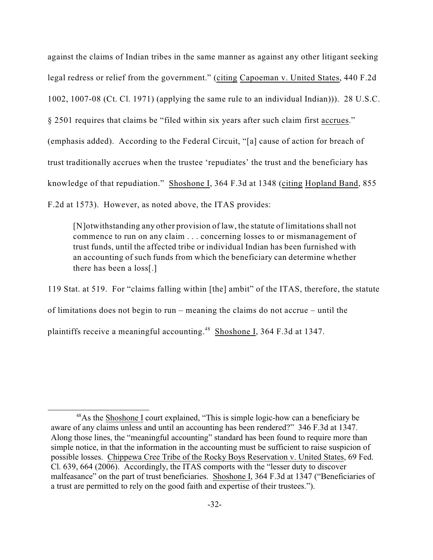against the claims of Indian tribes in the same manner as against any other litigant seeking legal redress or relief from the government." (citing Capoeman v. United States, 440 F.2d 1002, 1007-08 (Ct. Cl. 1971) (applying the same rule to an individual Indian))). 28 U.S.C. § 2501 requires that claims be "filed within six years after such claim first accrues." (emphasis added). According to the Federal Circuit, "[a] cause of action for breach of trust traditionally accrues when the trustee 'repudiates' the trust and the beneficiary has knowledge of that repudiation." Shoshone I, 364 F.3d at 1348 (citing Hopland Band, 855 F.2d at 1573). However, as noted above, the ITAS provides:

[N]otwithstanding any other provision of law, the statute of limitations shall not commence to run on any claim . . . concerning losses to or mismanagement of trust funds, until the affected tribe or individual Indian has been furnished with an accounting of such funds from which the beneficiary can determine whether there has been a loss[.]

119 Stat. at 519. For "claims falling within [the] ambit" of the ITAS, therefore, the statute of limitations does not begin to run – meaning the claims do not accrue – until the plaintiffs receive a meaningful accounting.<sup>48</sup> Shoshone I, 364 F.3d at 1347.

 $48$ As the Shoshone I court explained, "This is simple logic-how can a beneficiary be aware of any claims unless and until an accounting has been rendered?" 346 F.3d at 1347. Along those lines, the "meaningful accounting" standard has been found to require more than simple notice, in that the information in the accounting must be sufficient to raise suspicion of possible losses. Chippewa Cree Tribe of the Rocky Boys Reservation v. United States, 69 Fed. Cl. 639, 664 (2006). Accordingly, the ITAS comports with the "lesser duty to discover malfeasance" on the part of trust beneficiaries. Shoshone I, 364 F.3d at 1347 ("Beneficiaries of a trust are permitted to rely on the good faith and expertise of their trustees.").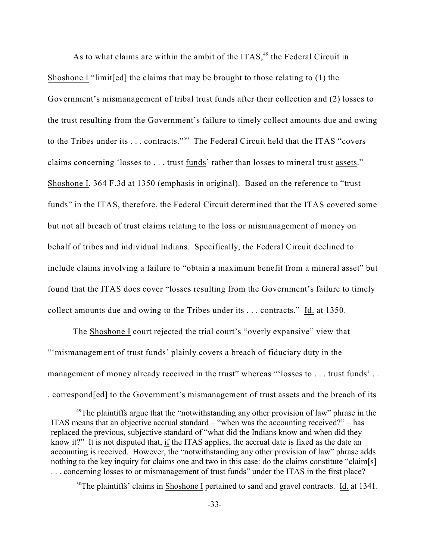As to what claims are within the ambit of the  $ITAS<sub>1</sub><sup>49</sup>$  the Federal Circuit in Shoshone I "limit[ed] the claims that may be brought to those relating to (1) the Government's mismanagement of tribal trust funds after their collection and (2) losses to the trust resulting from the Government's failure to timely collect amounts due and owing to the Tribes under its . . . contracts."<sup>50</sup> The Federal Circuit held that the ITAS "covers" claims concerning 'losses to . . . trust funds' rather than losses to mineral trust assets." Shoshone I, 364 F.3d at 1350 (emphasis in original). Based on the reference to "trust funds" in the ITAS, therefore, the Federal Circuit determined that the ITAS covered some but not all breach of trust claims relating to the loss or mismanagement of money on behalf of tribes and individual Indians. Specifically, the Federal Circuit declined to include claims involving a failure to "obtain a maximum benefit from a mineral asset" but found that the ITAS does cover "losses resulting from the Government's failure to timely collect amounts due and owing to the Tribes under its . . . contracts." Id. at 1350.

The Shoshone I court rejected the trial court's "overly expansive" view that "'mismanagement of trust funds' plainly covers a breach of fiduciary duty in the management of money already received in the trust" whereas "'losses to . . . trust funds'.. . correspond[ed] to the Government's mismanagement of trust assets and the breach of its

 $50$ The plaintiffs' claims in Shoshone I pertained to sand and gravel contracts. Id. at 1341.

 $49$ The plaintiffs argue that the "notwithstanding any other provision of law" phrase in the ITAS means that an objective accrual standard – "when was the accounting received?" – has replaced the previous, subjective standard of "what did the Indians know and when did they know it?" It is not disputed that, if the ITAS applies, the accrual date is fixed as the date an accounting is received. However, the "notwithstanding any other provision of law" phrase adds nothing to the key inquiry for claims one and two in this case: do the claims constitute "claim[s] . . . concerning losses to or mismanagement of trust funds" under the ITAS in the first place?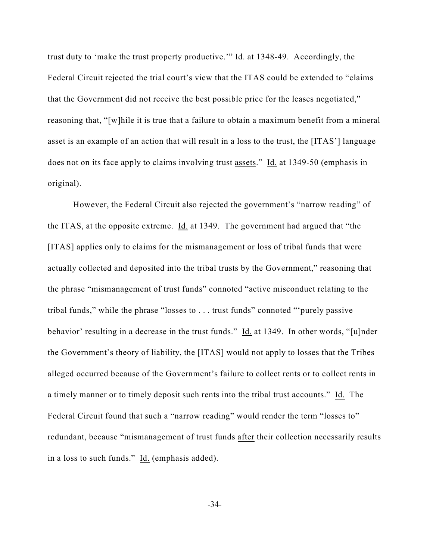trust duty to 'make the trust property productive.'" Id. at 1348-49. Accordingly, the Federal Circuit rejected the trial court's view that the ITAS could be extended to "claims that the Government did not receive the best possible price for the leases negotiated," reasoning that, "[w]hile it is true that a failure to obtain a maximum benefit from a mineral asset is an example of an action that will result in a loss to the trust, the [ITAS'] language does not on its face apply to claims involving trust assets." Id. at 1349-50 (emphasis in original).

However, the Federal Circuit also rejected the government's "narrow reading" of the ITAS, at the opposite extreme. Id. at 1349. The government had argued that "the [ITAS] applies only to claims for the mismanagement or loss of tribal funds that were actually collected and deposited into the tribal trusts by the Government," reasoning that the phrase "mismanagement of trust funds" connoted "active misconduct relating to the tribal funds," while the phrase "losses to . . . trust funds" connoted "'purely passive behavior' resulting in a decrease in the trust funds." Id. at 1349. In other words, "[u]nder the Government's theory of liability, the [ITAS] would not apply to losses that the Tribes alleged occurred because of the Government's failure to collect rents or to collect rents in a timely manner or to timely deposit such rents into the tribal trust accounts." Id. The Federal Circuit found that such a "narrow reading" would render the term "losses to" redundant, because "mismanagement of trust funds after their collection necessarily results in a loss to such funds." Id. (emphasis added).

-34-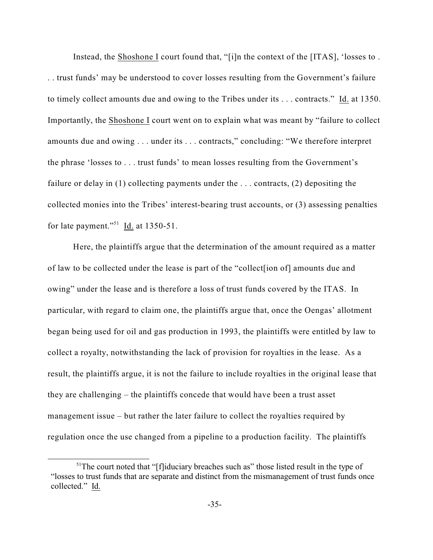Instead, the Shoshone I court found that, "[i]n the context of the [ITAS], 'losses to . . . trust funds' may be understood to cover losses resulting from the Government's failure to timely collect amounts due and owing to the Tribes under its . . . contracts." Id. at 1350. Importantly, the Shoshone I court went on to explain what was meant by "failure to collect amounts due and owing . . . under its . . . contracts," concluding: "We therefore interpret the phrase 'losses to . . . trust funds' to mean losses resulting from the Government's failure or delay in (1) collecting payments under the ... contracts, (2) depositing the collected monies into the Tribes' interest-bearing trust accounts, or (3) assessing penalties for late payment."<sup>51</sup> Id. at  $1350-51$ .

Here, the plaintiffs argue that the determination of the amount required as a matter of law to be collected under the lease is part of the "collect[ion of] amounts due and owing" under the lease and is therefore a loss of trust funds covered by the ITAS. In particular, with regard to claim one, the plaintiffs argue that, once the Oengas' allotment began being used for oil and gas production in 1993, the plaintiffs were entitled by law to collect a royalty, notwithstanding the lack of provision for royalties in the lease. As a result, the plaintiffs argue, it is not the failure to include royalties in the original lease that they are challenging – the plaintiffs concede that would have been a trust asset management issue – but rather the later failure to collect the royalties required by regulation once the use changed from a pipeline to a production facility. The plaintiffs

 $<sup>51</sup>$ The court noted that "[f]iduciary breaches such as" those listed result in the type of</sup> "losses to trust funds that are separate and distinct from the mismanagement of trust funds once collected." Id.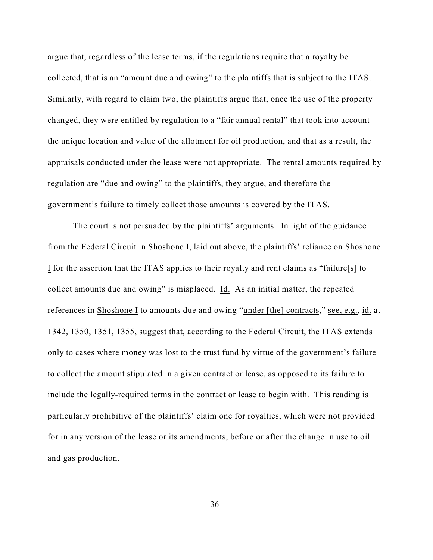argue that, regardless of the lease terms, if the regulations require that a royalty be collected, that is an "amount due and owing" to the plaintiffs that is subject to the ITAS. Similarly, with regard to claim two, the plaintiffs argue that, once the use of the property changed, they were entitled by regulation to a "fair annual rental" that took into account the unique location and value of the allotment for oil production, and that as a result, the appraisals conducted under the lease were not appropriate. The rental amounts required by regulation are "due and owing" to the plaintiffs, they argue, and therefore the government's failure to timely collect those amounts is covered by the ITAS.

The court is not persuaded by the plaintiffs' arguments. In light of the guidance from the Federal Circuit in Shoshone I, laid out above, the plaintiffs' reliance on Shoshone I for the assertion that the ITAS applies to their royalty and rent claims as "failure[s] to collect amounts due and owing" is misplaced. Id. As an initial matter, the repeated references in Shoshone I to amounts due and owing "under [the] contracts," see, e.g., id. at 1342, 1350, 1351, 1355, suggest that, according to the Federal Circuit, the ITAS extends only to cases where money was lost to the trust fund by virtue of the government's failure to collect the amount stipulated in a given contract or lease, as opposed to its failure to include the legally-required terms in the contract or lease to begin with. This reading is particularly prohibitive of the plaintiffs' claim one for royalties, which were not provided for in any version of the lease or its amendments, before or after the change in use to oil and gas production.

-36-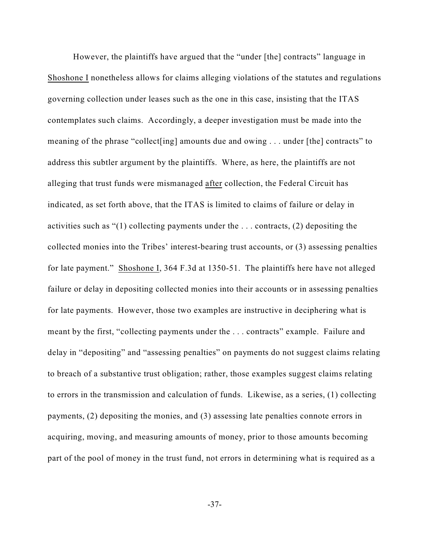However, the plaintiffs have argued that the "under [the] contracts" language in Shoshone I nonetheless allows for claims alleging violations of the statutes and regulations governing collection under leases such as the one in this case, insisting that the ITAS contemplates such claims. Accordingly, a deeper investigation must be made into the meaning of the phrase "collect[ing] amounts due and owing . . . under [the] contracts" to address this subtler argument by the plaintiffs. Where, as here, the plaintiffs are not alleging that trust funds were mismanaged after collection, the Federal Circuit has indicated, as set forth above, that the ITAS is limited to claims of failure or delay in activities such as "(1) collecting payments under the . . . contracts, (2) depositing the collected monies into the Tribes' interest-bearing trust accounts, or (3) assessing penalties for late payment." Shoshone I, 364 F.3d at 1350-51. The plaintiffs here have not alleged failure or delay in depositing collected monies into their accounts or in assessing penalties for late payments. However, those two examples are instructive in deciphering what is meant by the first, "collecting payments under the . . . contracts" example. Failure and delay in "depositing" and "assessing penalties" on payments do not suggest claims relating to breach of a substantive trust obligation; rather, those examples suggest claims relating to errors in the transmission and calculation of funds. Likewise, as a series, (1) collecting payments, (2) depositing the monies, and (3) assessing late penalties connote errors in acquiring, moving, and measuring amounts of money, prior to those amounts becoming part of the pool of money in the trust fund, not errors in determining what is required as a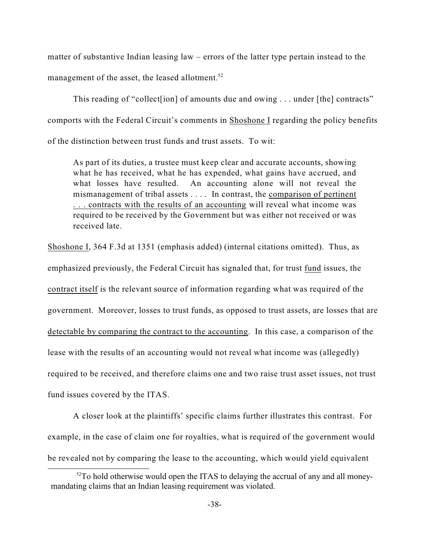matter of substantive Indian leasing law – errors of the latter type pertain instead to the management of the asset, the leased allotment. $52$ 

This reading of "collect [ion] of amounts due and owing . . . under [the] contracts" comports with the Federal Circuit's comments in Shoshone I regarding the policy benefits of the distinction between trust funds and trust assets. To wit:

As part of its duties, a trustee must keep clear and accurate accounts, showing what he has received, what he has expended, what gains have accrued, and what losses have resulted. An accounting alone will not reveal the mismanagement of tribal assets . . . . In contrast, the comparison of pertinent . . . contracts with the results of an accounting will reveal what income was required to be received by the Government but was either not received or was received late.

Shoshone I, 364 F.3d at 1351 (emphasis added) (internal citations omitted). Thus, as

emphasized previously, the Federal Circuit has signaled that, for trust fund issues, the

contract itself is the relevant source of information regarding what was required of the

government. Moreover, losses to trust funds, as opposed to trust assets, are losses that are

detectable by comparing the contract to the accounting. In this case, a comparison of the

lease with the results of an accounting would not reveal what income was (allegedly)

required to be received, and therefore claims one and two raise trust asset issues, not trust

fund issues covered by the ITAS.

A closer look at the plaintiffs' specific claims further illustrates this contrast. For example, in the case of claim one for royalties, what is required of the government would be revealed not by comparing the lease to the accounting, which would yield equivalent

 $52$ To hold otherwise would open the ITAS to delaying the accrual of any and all moneymandating claims that an Indian leasing requirement was violated.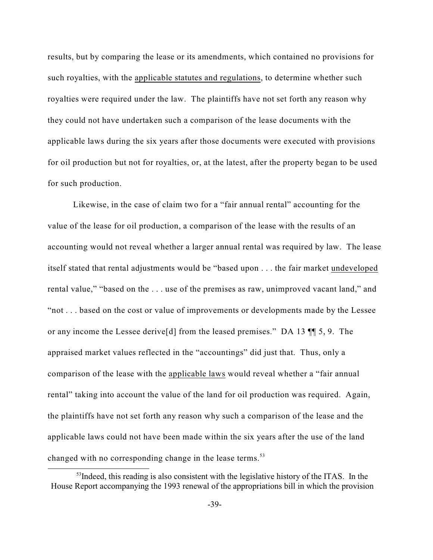results, but by comparing the lease or its amendments, which contained no provisions for such royalties, with the applicable statutes and regulations, to determine whether such royalties were required under the law. The plaintiffs have not set forth any reason why they could not have undertaken such a comparison of the lease documents with the applicable laws during the six years after those documents were executed with provisions for oil production but not for royalties, or, at the latest, after the property began to be used for such production.

Likewise, in the case of claim two for a "fair annual rental" accounting for the value of the lease for oil production, a comparison of the lease with the results of an accounting would not reveal whether a larger annual rental was required by law. The lease itself stated that rental adjustments would be "based upon . . . the fair market undeveloped rental value," "based on the . . . use of the premises as raw, unimproved vacant land," and "not . . . based on the cost or value of improvements or developments made by the Lessee or any income the Lessee derive[d] from the leased premises." DA 13 ¶¶ 5, 9. The appraised market values reflected in the "accountings" did just that. Thus, only a comparison of the lease with the applicable laws would reveal whether a "fair annual rental" taking into account the value of the land for oil production was required. Again, the plaintiffs have not set forth any reason why such a comparison of the lease and the applicable laws could not have been made within the six years after the use of the land changed with no corresponding change in the lease terms.<sup>53</sup>

 $<sup>53</sup>$ Indeed, this reading is also consistent with the legislative history of the ITAS. In the</sup> House Report accompanying the 1993 renewal of the appropriations bill in which the provision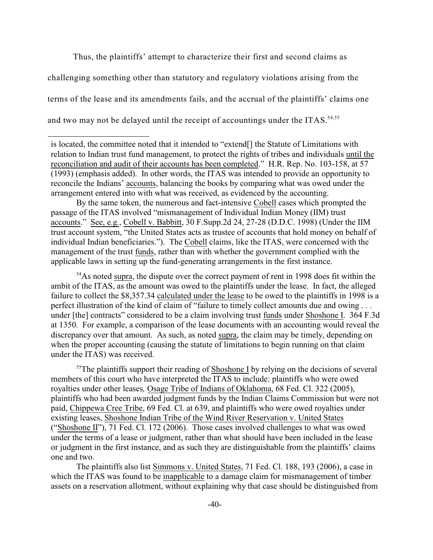Thus, the plaintiffs' attempt to characterize their first and second claims as challenging something other than statutory and regulatory violations arising from the terms of the lease and its amendments fails, and the accrual of the plaintiffs' claims one and two may not be delayed until the receipt of accountings under the ITAS.<sup>54,55</sup>

By the same token, the numerous and fact-intensive Cobell cases which prompted the passage of the ITAS involved "mismanagement of Individual Indian Money (IIM) trust accounts." See, e.g., Cobell v. Babbitt, 30 F.Supp.2d 24, 27-28 (D.D.C. 1998) (Under the IIM trust account system, "the United States acts as trustee of accounts that hold money on behalf of individual Indian beneficiaries."). The Cobell claims, like the ITAS, were concerned with the management of the trust funds, rather than with whether the government complied with the applicable laws in setting up the fund-generating arrangements in the first instance.

 $54$ As noted supra, the dispute over the correct payment of rent in 1998 does fit within the ambit of the ITAS, as the amount was owed to the plaintiffs under the lease. In fact, the alleged failure to collect the \$8,357.34 calculated under the lease to be owed to the plaintiffs in 1998 is a perfect illustration of the kind of claim of "failure to timely collect amounts due and owing . . . under [the] contracts" considered to be a claim involving trust funds under Shoshone I. 364 F.3d at 1350. For example, a comparison of the lease documents with an accounting would reveal the discrepancy over that amount. As such, as noted supra, the claim may be timely, depending on when the proper accounting (causing the statute of limitations to begin running on that claim under the ITAS) was received.

<sup>55</sup>The plaintiffs support their reading of Shoshone I by relying on the decisions of several members of this court who have interpreted the ITAS to include: plaintiffs who were owed royalties under other leases*,* Osage Tribe of Indians of Oklahoma, 68 Fed. Cl. 322 (2005), plaintiffs who had been awarded judgment funds by the Indian Claims Commission but were not paid, Chippewa Cree Tribe, 69 Fed. Cl. at 639, and plaintiffs who were owed royalties under existing leases, Shoshone Indian Tribe of the Wind River Reservation v. United States ("Shoshone II"), 71 Fed. Cl. 172 (2006). Those cases involved challenges to what was owed under the terms of a lease or judgment, rather than what should have been included in the lease or judgment in the first instance, and as such they are distinguishable from the plaintiffs' claims one and two.

The plaintiffs also list Simmons v. United States, 71 Fed. Cl. 188, 193 (2006), a case in which the ITAS was found to be inapplicable to a damage claim for mismanagement of timber assets on a reservation allotment, without explaining why that case should be distinguished from

is located, the committee noted that it intended to "extend[] the Statute of Limitations with relation to Indian trust fund management, to protect the rights of tribes and individuals until the reconciliation and audit of their accounts has been completed." H.R. Rep. No. 103-158, at 57 (1993) (emphasis added). In other words, the ITAS was intended to provide an opportunity to reconcile the Indians' accounts, balancing the books by comparing what was owed under the arrangement entered into with what was received, as evidenced by the accounting.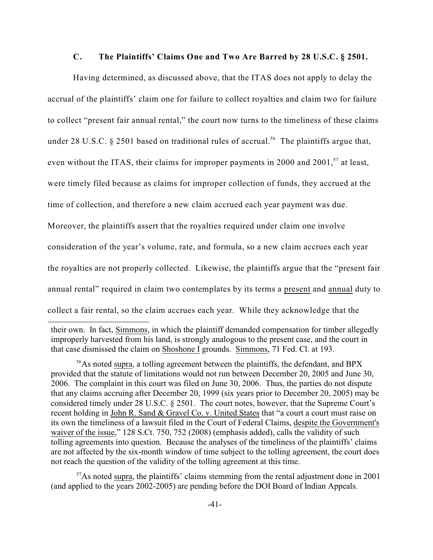#### **C. The Plaintiffs' Claims One and Two Are Barred by 28 U.S.C. § 2501.**

Having determined, as discussed above, that the ITAS does not apply to delay the accrual of the plaintiffs' claim one for failure to collect royalties and claim two for failure to collect "present fair annual rental," the court now turns to the timeliness of these claims under 28 U.S.C. § 2501 based on traditional rules of accrual.<sup>56</sup> The plaintiffs argue that, even without the ITAS, their claims for improper payments in 2000 and 2001,  $57$  at least, were timely filed because as claims for improper collection of funds, they accrued at the time of collection, and therefore a new claim accrued each year payment was due. Moreover, the plaintiffs assert that the royalties required under claim one involve consideration of the year's volume, rate, and formula, so a new claim accrues each year the royalties are not properly collected. Likewise, the plaintiffs argue that the "present fair annual rental" required in claim two contemplates by its terms a present and annual duty to collect a fair rental, so the claim accrues each year. While they acknowledge that the

their own. In fact, Simmons, in which the plaintiff demanded compensation for timber allegedly improperly harvested from his land, is strongly analogous to the present case, and the court in that case dismissed the claim on Shoshone I grounds. Simmons, 71 Fed. Cl. at 193.

<sup>&</sup>lt;sup>56</sup>As noted supra, a tolling agreement between the plaintiffs, the defendant, and BPX provided that the statute of limitations would not run between December 20, 2005 and June 30, 2006. The complaint in this court was filed on June 30, 2006. Thus, the parties do not dispute that any claims accruing after December 20, 1999 (six years prior to December 20, 2005) may be considered timely under 28 U.S.C. § 2501. The court notes, however, that the Supreme Court's recent holding in John R. Sand & Gravel Co. v. United States that "a court a court must raise on its own the timeliness of a lawsuit filed in the Court of Federal Claims, despite the Government's waiver of the issue," 128 S.Ct. 750, 752 (2008) (emphasis added), calls the validity of such tolling agreements into question. Because the analyses of the timeliness of the plaintiffs' claims are not affected by the six-month window of time subject to the tolling agreement, the court does not reach the question of the validity of the tolling agreement at this time.

 $57$ As noted supra, the plaintiffs' claims stemming from the rental adjustment done in 2001 (and applied to the years 2002-2005) are pending before the DOI Board of Indian Appeals.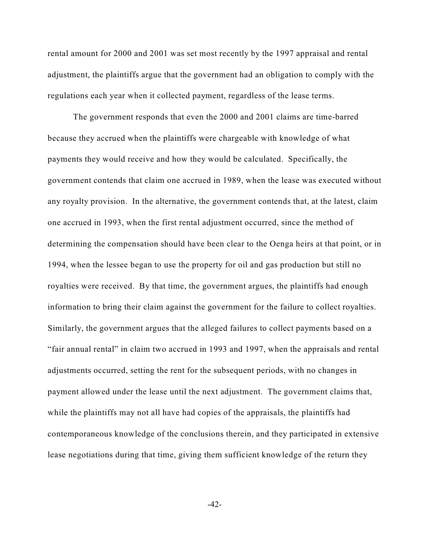rental amount for 2000 and 2001 was set most recently by the 1997 appraisal and rental adjustment, the plaintiffs argue that the government had an obligation to comply with the regulations each year when it collected payment, regardless of the lease terms.

The government responds that even the 2000 and 2001 claims are time-barred because they accrued when the plaintiffs were chargeable with knowledge of what payments they would receive and how they would be calculated. Specifically, the government contends that claim one accrued in 1989, when the lease was executed without any royalty provision. In the alternative, the government contends that, at the latest, claim one accrued in 1993, when the first rental adjustment occurred, since the method of determining the compensation should have been clear to the Oenga heirs at that point, or in 1994, when the lessee began to use the property for oil and gas production but still no royalties were received. By that time, the government argues, the plaintiffs had enough information to bring their claim against the government for the failure to collect royalties. Similarly, the government argues that the alleged failures to collect payments based on a "fair annual rental" in claim two accrued in 1993 and 1997, when the appraisals and rental adjustments occurred, setting the rent for the subsequent periods, with no changes in payment allowed under the lease until the next adjustment. The government claims that, while the plaintiffs may not all have had copies of the appraisals, the plaintiffs had contemporaneous knowledge of the conclusions therein, and they participated in extensive lease negotiations during that time, giving them sufficient knowledge of the return they

 $-42-$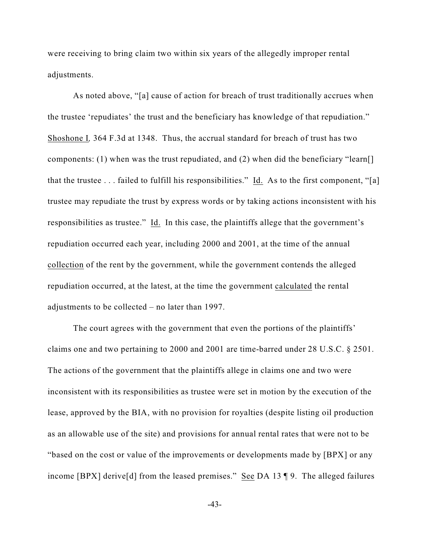were receiving to bring claim two within six years of the allegedly improper rental adjustments.

As noted above, "[a] cause of action for breach of trust traditionally accrues when the trustee 'repudiates' the trust and the beneficiary has knowledge of that repudiation." Shoshone I*,* 364 F.3d at 1348. Thus, the accrual standard for breach of trust has two components: (1) when was the trust repudiated, and (2) when did the beneficiary "learn[] that the trustee  $\dots$  failed to fulfill his responsibilities." Id. As to the first component, "[a] trustee may repudiate the trust by express words or by taking actions inconsistent with his responsibilities as trustee." Id. In this case, the plaintiffs allege that the government's repudiation occurred each year, including 2000 and 2001, at the time of the annual collection of the rent by the government, while the government contends the alleged repudiation occurred, at the latest, at the time the government calculated the rental adjustments to be collected – no later than 1997.

The court agrees with the government that even the portions of the plaintiffs' claims one and two pertaining to 2000 and 2001 are time-barred under 28 U.S.C. § 2501. The actions of the government that the plaintiffs allege in claims one and two were inconsistent with its responsibilities as trustee were set in motion by the execution of the lease, approved by the BIA, with no provision for royalties (despite listing oil production as an allowable use of the site) and provisions for annual rental rates that were not to be "based on the cost or value of the improvements or developments made by [BPX] or any income [BPX] derive[d] from the leased premises." See DA 13 ¶ 9. The alleged failures

-43-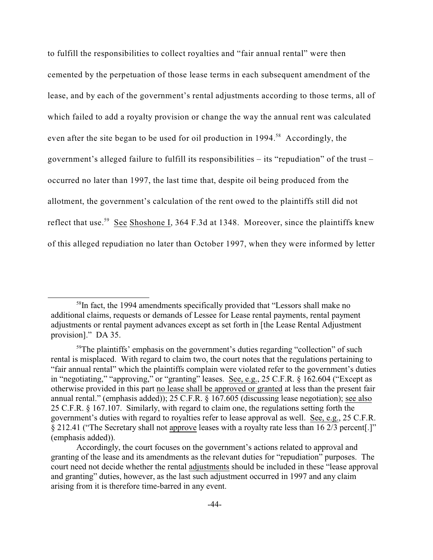to fulfill the responsibilities to collect royalties and "fair annual rental" were then cemented by the perpetuation of those lease terms in each subsequent amendment of the lease, and by each of the government's rental adjustments according to those terms, all of which failed to add a royalty provision or change the way the annual rent was calculated even after the site began to be used for oil production in 1994.<sup>58</sup> Accordingly, the government's alleged failure to fulfill its responsibilities – its "repudiation" of the trust – occurred no later than 1997, the last time that, despite oil being produced from the allotment, the government's calculation of the rent owed to the plaintiffs still did not reflect that use.<sup>59</sup> See Shoshone I, 364 F.3d at 1348. Moreover, since the plaintiffs knew of this alleged repudiation no later than October 1997, when they were informed by letter

 $58$ In fact, the 1994 amendments specifically provided that "Lessors shall make no additional claims, requests or demands of Lessee for Lease rental payments, rental payment adjustments or rental payment advances except as set forth in [the Lease Rental Adjustment provision]." DA 35.

 $59$ The plaintiffs' emphasis on the government's duties regarding "collection" of such rental is misplaced. With regard to claim two, the court notes that the regulations pertaining to "fair annual rental" which the plaintiffs complain were violated refer to the government's duties in "negotiating," "approving," or "granting" leases. See, e.g., 25 C.F.R. § 162.604 ("Except as otherwise provided in this part no lease shall be approved or granted at less than the present fair annual rental." (emphasis added)); 25 C.F.R. § 167.605 (discussing lease negotiation); see also 25 C.F.R. § 167.107. Similarly, with regard to claim one, the regulations setting forth the government's duties with regard to royalties refer to lease approval as well. See, e.g., 25 C.F.R. § 212.41 ("The Secretary shall not approve leases with a royalty rate less than 16 2/3 percent[.]" (emphasis added)).

Accordingly, the court focuses on the government's actions related to approval and granting of the lease and its amendments as the relevant duties for "repudiation" purposes. The court need not decide whether the rental adjustments should be included in these "lease approval and granting" duties, however, as the last such adjustment occurred in 1997 and any claim arising from it is therefore time-barred in any event.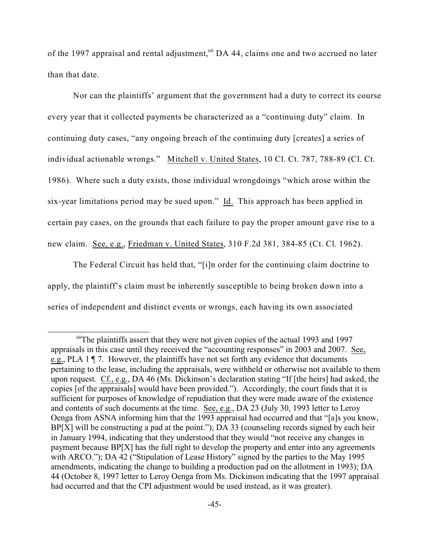of the 1997 appraisal and rental adjustment,  $60$  DA 44, claims one and two accrued no later than that date.

Nor can the plaintiffs' argument that the government had a duty to correct its course every year that it collected payments be characterized as a "continuing duty" claim. In continuing duty cases, "any ongoing breach of the continuing duty [creates] a series of individual actionable wrongs." Mitchell v. United States, 10 Cl. Ct. 787, 788-89 (Cl. Ct. 1986). Where such a duty exists, those individual wrongdoings "which arose within the six-year limitations period may be sued upon." Id. This approach has been applied in certain pay cases, on the grounds that each failure to pay the proper amount gave rise to a new claim. See, e.g., Friedman v. United States, 310 F.2d 381, 384-85 (Ct. Cl. 1962).

The Federal Circuit has held that, "[i]n order for the continuing claim doctrine to apply, the plaintiff's claim must be inherently susceptible to being broken down into a series of independent and distinct events or wrongs, each having its own associated

 $60$ The plaintiffs assert that they were not given copies of the actual 1993 and 1997 appraisals in this case until they received the "accounting responses" in 2003 and 2007. See, e.g., PLA 1 ¶ 7. However, the plaintiffs have not set forth any evidence that documents pertaining to the lease, including the appraisals, were withheld or otherwise not available to them upon request. Cf., e.g., DA 46 (Ms. Dickinson's declaration stating "If [the heirs] had asked, the copies [of the appraisals] would have been provided."). Accordingly, the court finds that it is sufficient for purposes of knowledge of repudiation that they were made aware of the existence and contents of such documents at the time. See, e.g., DA 23 (July 30, 1993 letter to Leroy Oenga from ASNA informing him that the 1993 appraisal had occurred and that "[a]s you know, BP[X] will be constructing a pad at the point."); DA 33 (counseling records signed by each heir in January 1994, indicating that they understood that they would "not receive any changes in payment because BP[X] has the full right to develop the property and enter into any agreements with ARCO."); DA 42 ("Stipulation of Lease History" signed by the parties to the May 1995 amendments, indicating the change to building a production pad on the allotment in 1993); DA 44 (October 8, 1997 letter to Leroy Oenga from Ms. Dickinson indicating that the 1997 appraisal had occurred and that the CPI adjustment would be used instead, as it was greater).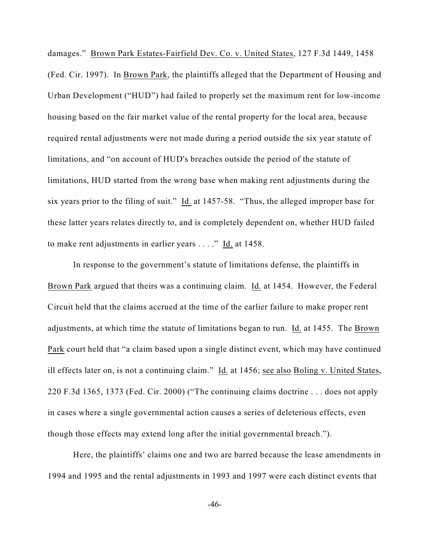damages." Brown Park Estates-Fairfield Dev. Co. v. United States, 127 F.3d 1449, 1458 (Fed. Cir. 1997). In Brown Park, the plaintiffs alleged that the Department of Housing and Urban Development ("HUD") had failed to properly set the maximum rent for low-income housing based on the fair market value of the rental property for the local area, because required rental adjustments were not made during a period outside the six year statute of limitations, and "on account of HUD's breaches outside the period of the statute of limitations, HUD started from the wrong base when making rent adjustments during the six years prior to the filing of suit." Id. at 1457-58. "Thus, the alleged improper base for these latter years relates directly to, and is completely dependent on, whether HUD failed to make rent adjustments in earlier years . . . ." Id. at 1458.

In response to the government's statute of limitations defense, the plaintiffs in Brown Park argued that theirs was a continuing claim. Id. at 1454. However, the Federal Circuit held that the claims accrued at the time of the earlier failure to make proper rent adjustments, at which time the statute of limitations began to run. Id. at 1455. The Brown Park court held that "a claim based upon a single distinct event, which may have continued ill effects later on, is not a continuing claim." Id. at 1456; see also Boling v. United States, 220 F.3d 1365, 1373 (Fed. Cir. 2000) ("The continuing claims doctrine . . . does not apply in cases where a single governmental action causes a series of deleterious effects, even though those effects may extend long after the initial governmental breach.").

Here, the plaintiffs' claims one and two are barred because the lease amendments in 1994 and 1995 and the rental adjustments in 1993 and 1997 were each distinct events that

-46-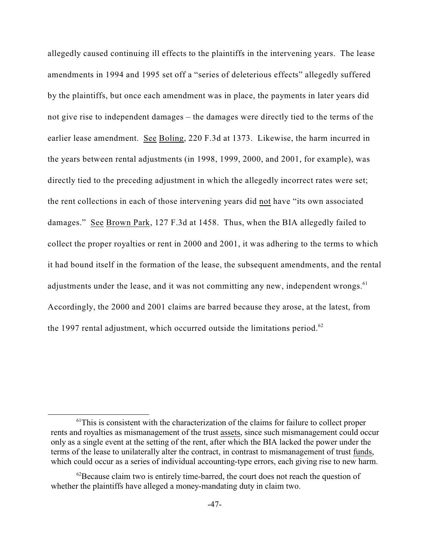allegedly caused continuing ill effects to the plaintiffs in the intervening years. The lease amendments in 1994 and 1995 set off a "series of deleterious effects" allegedly suffered by the plaintiffs, but once each amendment was in place, the payments in later years did not give rise to independent damages – the damages were directly tied to the terms of the earlier lease amendment. See Boling, 220 F.3d at 1373. Likewise, the harm incurred in the years between rental adjustments (in 1998, 1999, 2000, and 2001, for example), was directly tied to the preceding adjustment in which the allegedly incorrect rates were set; the rent collections in each of those intervening years did not have "its own associated damages." See Brown Park, 127 F.3d at 1458. Thus, when the BIA allegedly failed to collect the proper royalties or rent in 2000 and 2001, it was adhering to the terms to which it had bound itself in the formation of the lease, the subsequent amendments, and the rental adjustments under the lease, and it was not committing any new, independent wrongs. $61$ Accordingly, the 2000 and 2001 claims are barred because they arose, at the latest, from the 1997 rental adjustment, which occurred outside the limitations period. $^{62}$ 

<sup>&</sup>lt;sup>61</sup>This is consistent with the characterization of the claims for failure to collect proper rents and royalties as mismanagement of the trust assets, since such mismanagement could occur only as a single event at the setting of the rent, after which the BIA lacked the power under the terms of the lease to unilaterally alter the contract, in contrast to mismanagement of trust funds, which could occur as a series of individual accounting-type errors, each giving rise to new harm.

 $^{62}$ Because claim two is entirely time-barred, the court does not reach the question of whether the plaintiffs have alleged a money-mandating duty in claim two.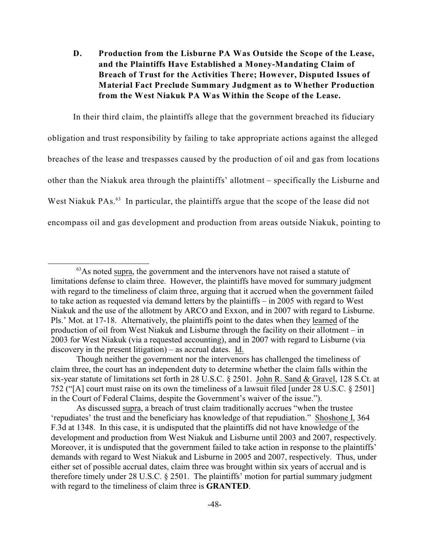**D. Production from the Lisburne PA Was Outside the Scope of the Lease, and the Plaintiffs Have Established a Money-Mandating Claim of Breach of Trust for the Activities There; However, Disputed Issues of Material Fact Preclude Summary Judgment as to Whether Production from the West Niakuk PA Was Within the Scope of the Lease.** 

In their third claim, the plaintiffs allege that the government breached its fiduciary obligation and trust responsibility by failing to take appropriate actions against the alleged breaches of the lease and trespasses caused by the production of oil and gas from locations other than the Niakuk area through the plaintiffs' allotment – specifically the Lisburne and West Niakuk PAs. $<sup>63</sup>$  In particular, the plaintiffs argue that the scope of the lease did not</sup> encompass oil and gas development and production from areas outside Niakuk, pointing to

As discussed supra, a breach of trust claim traditionally accrues "when the trustee 'repudiates' the trust and the beneficiary has knowledge of that repudiation." Shoshone I, 364 F.3d at 1348. In this case, it is undisputed that the plaintiffs did not have knowledge of the development and production from West Niakuk and Lisburne until 2003 and 2007, respectively. Moreover, it is undisputed that the government failed to take action in response to the plaintiffs' demands with regard to West Niakuk and Lisburne in 2005 and 2007, respectively. Thus, under either set of possible accrual dates, claim three was brought within six years of accrual and is therefore timely under 28 U.S.C. § 2501. The plaintiffs' motion for partial summary judgment with regard to the timeliness of claim three is **GRANTED**.

 $<sup>63</sup>$ As noted supra, the government and the intervenors have not raised a statute of</sup> limitations defense to claim three. However, the plaintiffs have moved for summary judgment with regard to the timeliness of claim three, arguing that it accrued when the government failed to take action as requested via demand letters by the plaintiffs – in 2005 with regard to West Niakuk and the use of the allotment by ARCO and Exxon, and in 2007 with regard to Lisburne. Pls.' Mot. at 17-18. Alternatively, the plaintiffs point to the dates when they learned of the production of oil from West Niakuk and Lisburne through the facility on their allotment – in 2003 for West Niakuk (via a requested accounting), and in 2007 with regard to Lisburne (via discovery in the present litigation) – as accrual dates. Id.

Though neither the government nor the intervenors has challenged the timeliness of claim three, the court has an independent duty to determine whether the claim falls within the six-year statute of limitations set forth in 28 U.S.C. § 2501. John R. Sand & Gravel, 128 S.Ct. at 752 ("[A] court must raise on its own the timeliness of a lawsuit filed [under 28 U.S.C. § 2501] in the Court of Federal Claims, despite the Government's waiver of the issue.").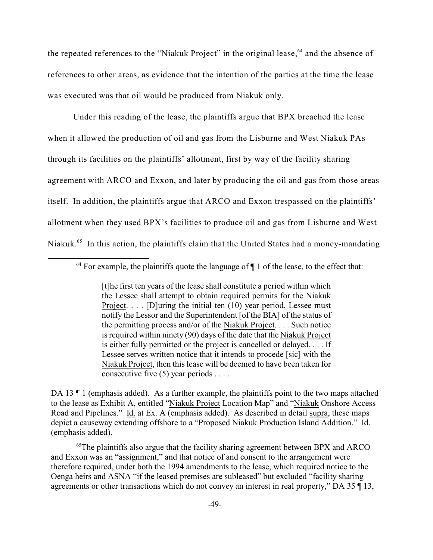the repeated references to the "Niakuk Project" in the original lease,  $64$  and the absence of references to other areas, as evidence that the intention of the parties at the time the lease was executed was that oil would be produced from Niakuk only.

Under this reading of the lease, the plaintiffs argue that BPX breached the lease when it allowed the production of oil and gas from the Lisburne and West Niakuk PAs through its facilities on the plaintiffs' allotment, first by way of the facility sharing agreement with ARCO and Exxon, and later by producing the oil and gas from those areas itself. In addition, the plaintiffs argue that ARCO and Exxon trespassed on the plaintiffs' allotment when they used BPX's facilities to produce oil and gas from Lisburne and West Niakuk.<sup>65</sup> In this action, the plaintiffs claim that the United States had a money-mandating

DA 13  $\parallel$  1 (emphasis added). As a further example, the plaintiffs point to the two maps attached to the lease as Exhibit A, entitled "Niakuk Project Location Map" and "Niakuk Onshore Access Road and Pipelines." Id. at Ex. A (emphasis added). As described in detail supra, these maps depict a causeway extending offshore to a "Proposed Niakuk Production Island Addition." Id. (emphasis added).

 $<sup>65</sup>$ The plaintiffs also argue that the facility sharing agreement between BPX and ARCO</sup> and Exxon was an "assignment," and that notice of and consent to the arrangement were therefore required, under both the 1994 amendments to the lease, which required notice to the Oenga heirs and ASNA "if the leased premises are subleased" but excluded "facility sharing agreements or other transactions which do not convey an interest in real property," DA 35 ¶ 13,

 $64$  For example, the plaintiffs quote the language of  $\P$  1 of the lease, to the effect that:

<sup>[</sup>t]he first ten years of the lease shall constitute a period within which the Lessee shall attempt to obtain required permits for the Niakuk Project. . . . [D]uring the initial ten (10) year period, Lessee must notify the Lessor and the Superintendent [of the BIA] of the status of the permitting process and/or of the Niakuk Project. . . . Such notice is required within ninety (90) days of the date that the Niakuk Project is either fully permitted or the project is cancelled or delayed. . . . If Lessee serves written notice that it intends to procede [sic] with the Niakuk Project, then this lease will be deemed to have been taken for consecutive five  $(5)$  year periods ....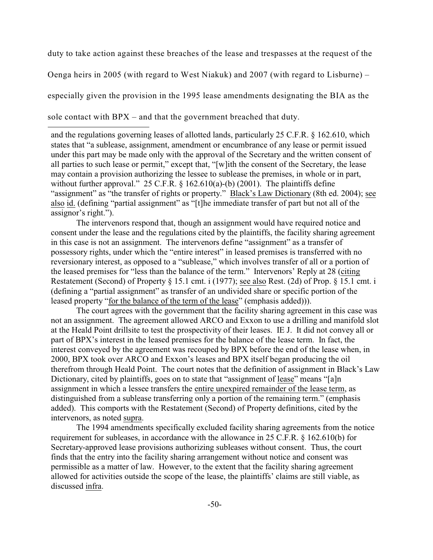duty to take action against these breaches of the lease and trespasses at the request of the

Oenga heirs in 2005 (with regard to West Niakuk) and 2007 (with regard to Lisburne) –

especially given the provision in the 1995 lease amendments designating the BIA as the

sole contact with BPX – and that the government breached that duty.

and the regulations governing leases of allotted lands, particularly 25 C.F.R. § 162.610, which states that "a sublease, assignment, amendment or encumbrance of any lease or permit issued under this part may be made only with the approval of the Secretary and the written consent of all parties to such lease or permit," except that, "[w]ith the consent of the Secretary, the lease may contain a provision authorizing the lessee to sublease the premises, in whole or in part, without further approval." 25 C.F.R.  $\S$  162.610(a)-(b) (2001). The plaintiffs define "assignment" as "the transfer of rights or property." Black's Law Dictionary (8th ed. 2004); see also id. (defining "partial assignment" as "[t]he immediate transfer of part but not all of the assignor's right.").

The intervenors respond that, though an assignment would have required notice and consent under the lease and the regulations cited by the plaintiffs, the facility sharing agreement in this case is not an assignment. The intervenors define "assignment" as a transfer of possessory rights, under which the "entire interest" in leased premises is transferred with no reversionary interest, as opposed to a "sublease," which involves transfer of all or a portion of the leased premises for "less than the balance of the term." Intervenors' Reply at 28 (citing Restatement (Second) of Property § 15.1 cmt. i (1977); see also Rest. (2d) of Prop. § 15.1 cmt. i (defining a "partial assignment" as transfer of an undivided share or specific portion of the leased property "for the balance of the term of the lease" (emphasis added))).

The court agrees with the government that the facility sharing agreement in this case was not an assignment. The agreement allowed ARCO and Exxon to use a drilling and manifold slot at the Heald Point drillsite to test the prospectivity of their leases. IE J. It did not convey all or part of BPX's interest in the leased premises for the balance of the lease term. In fact, the interest conveyed by the agreement was recouped by BPX before the end of the lease when, in 2000, BPX took over ARCO and Exxon's leases and BPX itself began producing the oil therefrom through Heald Point. The court notes that the definition of assignment in Black's Law Dictionary, cited by plaintiffs, goes on to state that "assignment of lease" means "[a]n assignment in which a lessee transfers the entire unexpired remainder of the lease term, as distinguished from a sublease transferring only a portion of the remaining term." (emphasis added). This comports with the Restatement (Second) of Property definitions, cited by the intervenors, as noted supra.

The 1994 amendments specifically excluded facility sharing agreements from the notice requirement for subleases, in accordance with the allowance in 25 C.F.R. § 162.610(b) for Secretary-approved lease provisions authorizing subleases without consent. Thus, the court finds that the entry into the facility sharing arrangement without notice and consent was permissible as a matter of law. However, to the extent that the facility sharing agreement allowed for activities outside the scope of the lease, the plaintiffs' claims are still viable, as discussed infra.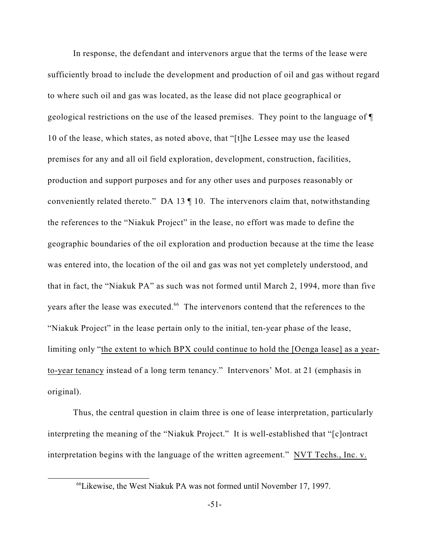In response, the defendant and intervenors argue that the terms of the lease were sufficiently broad to include the development and production of oil and gas without regard to where such oil and gas was located, as the lease did not place geographical or geological restrictions on the use of the leased premises. They point to the language of ¶ 10 of the lease, which states, as noted above, that "[t]he Lessee may use the leased premises for any and all oil field exploration, development, construction, facilities, production and support purposes and for any other uses and purposes reasonably or conveniently related thereto." DA 13 ¶ 10. The intervenors claim that, notwithstanding the references to the "Niakuk Project" in the lease, no effort was made to define the geographic boundaries of the oil exploration and production because at the time the lease was entered into, the location of the oil and gas was not yet completely understood, and that in fact, the "Niakuk PA" as such was not formed until March 2, 1994, more than five years after the lease was executed.<sup>66</sup> The intervenors contend that the references to the "Niakuk Project" in the lease pertain only to the initial, ten-year phase of the lease, limiting only "the extent to which BPX could continue to hold the [Oenga lease] as a yearto-year tenancy instead of a long term tenancy." Intervenors' Mot. at 21 (emphasis in original).

Thus, the central question in claim three is one of lease interpretation, particularly interpreting the meaning of the "Niakuk Project." It is well-established that "[c]ontract interpretation begins with the language of the written agreement." NVT Techs., Inc. v.

<sup>&</sup>lt;sup>66</sup> Likewise, the West Niakuk PA was not formed until November 17, 1997.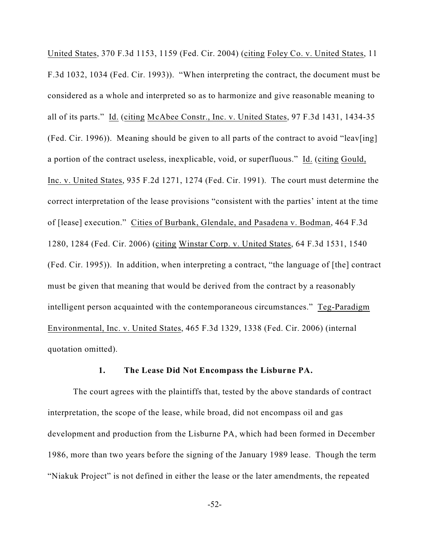United States, 370 F.3d 1153, 1159 (Fed. Cir. 2004) (citing Foley Co. v. United States, 11 F.3d 1032, 1034 (Fed. Cir. 1993)). "When interpreting the contract, the document must be considered as a whole and interpreted so as to harmonize and give reasonable meaning to all of its parts." Id. (citing McAbee Constr., Inc. v. United States, 97 F.3d 1431, 1434-35 (Fed. Cir. 1996)). Meaning should be given to all parts of the contract to avoid "leav[ing] a portion of the contract useless, inexplicable, void, or superfluous." Id. (citing Gould, Inc. v. United States, 935 F.2d 1271, 1274 (Fed. Cir. 1991). The court must determine the correct interpretation of the lease provisions "consistent with the parties' intent at the time of [lease] execution." Cities of Burbank, Glendale, and Pasadena v. Bodman, 464 F.3d 1280, 1284 (Fed. Cir. 2006) (citing Winstar Corp. v. United States, 64 F.3d 1531, 1540 (Fed. Cir. 1995)). In addition, when interpreting a contract, "the language of [the] contract must be given that meaning that would be derived from the contract by a reasonably intelligent person acquainted with the contemporaneous circumstances." Teg-Paradigm Environmental, Inc. v. United States, 465 F.3d 1329, 1338 (Fed. Cir. 2006) (internal quotation omitted).

# **1. The Lease Did Not Encompass the Lisburne PA.**

The court agrees with the plaintiffs that, tested by the above standards of contract interpretation, the scope of the lease, while broad, did not encompass oil and gas development and production from the Lisburne PA, which had been formed in December 1986, more than two years before the signing of the January 1989 lease. Though the term "Niakuk Project" is not defined in either the lease or the later amendments, the repeated

-52-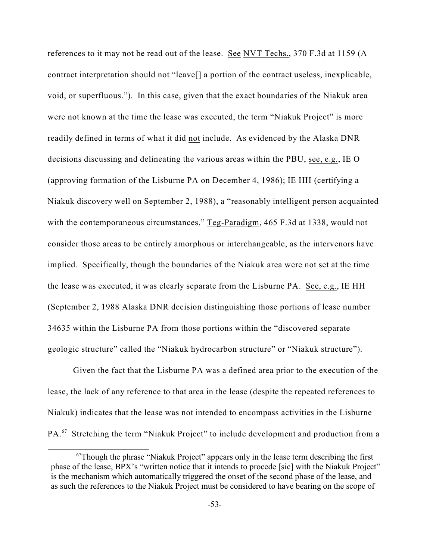references to it may not be read out of the lease. See NVT Techs., 370 F.3d at 1159 (A contract interpretation should not "leave[] a portion of the contract useless, inexplicable, void, or superfluous."). In this case, given that the exact boundaries of the Niakuk area were not known at the time the lease was executed, the term "Niakuk Project" is more readily defined in terms of what it did not include. As evidenced by the Alaska DNR decisions discussing and delineating the various areas within the PBU, see, e.g., IE O (approving formation of the Lisburne PA on December 4, 1986); IE HH (certifying a Niakuk discovery well on September 2, 1988), a "reasonably intelligent person acquainted with the contemporaneous circumstances," Teg-Paradigm, 465 F.3d at 1338, would not consider those areas to be entirely amorphous or interchangeable, as the intervenors have implied. Specifically, though the boundaries of the Niakuk area were not set at the time the lease was executed, it was clearly separate from the Lisburne PA. See, e.g., IE HH (September 2, 1988 Alaska DNR decision distinguishing those portions of lease number 34635 within the Lisburne PA from those portions within the "discovered separate geologic structure" called the "Niakuk hydrocarbon structure" or "Niakuk structure").

Given the fact that the Lisburne PA was a defined area prior to the execution of the lease, the lack of any reference to that area in the lease (despite the repeated references to Niakuk) indicates that the lease was not intended to encompass activities in the Lisburne PA.<sup>67</sup> Stretching the term "Niakuk Project" to include development and production from a

 $67$ Though the phrase "Niakuk Project" appears only in the lease term describing the first phase of the lease, BPX's "written notice that it intends to procede [sic] with the Niakuk Project" is the mechanism which automatically triggered the onset of the second phase of the lease, and as such the references to the Niakuk Project must be considered to have bearing on the scope of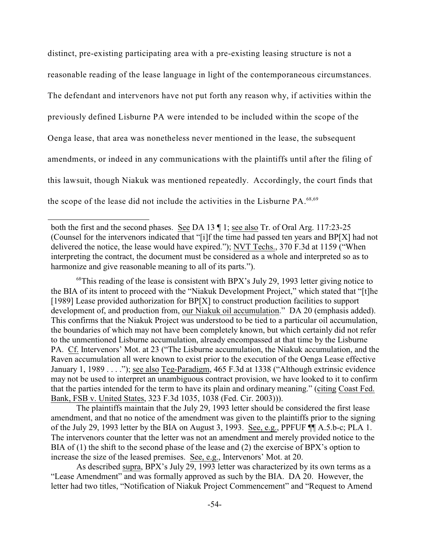distinct, pre-existing participating area with a pre-existing leasing structure is not a reasonable reading of the lease language in light of the contemporaneous circumstances. The defendant and intervenors have not put forth any reason why, if activities within the previously defined Lisburne PA were intended to be included within the scope of the Oenga lease, that area was nonetheless never mentioned in the lease, the subsequent amendments, or indeed in any communications with the plaintiffs until after the filing of this lawsuit, though Niakuk was mentioned repeatedly. Accordingly, the court finds that the scope of the lease did not include the activities in the Lisburne  $PA^{68,69}$ 

 $68$ This reading of the lease is consistent with BPX's July 29, 1993 letter giving notice to the BIA of its intent to proceed with the "Niakuk Development Project," which stated that "[t]he [1989] Lease provided authorization for BP[X] to construct production facilities to support development of, and production from, our Niakuk oil accumulation." DA 20 (emphasis added). This confirms that the Niakuk Project was understood to be tied to a particular oil accumulation, the boundaries of which may not have been completely known, but which certainly did not refer to the unmentioned Lisburne accumulation, already encompassed at that time by the Lisburne PA. Cf. Intervenors' Mot. at 23 ("The Lisburne accumulation, the Niakuk accumulation, and the Raven accumulation all were known to exist prior to the execution of the Oenga Lease effective January 1, 1989 . . . ."); see also Teg-Paradigm, 465 F.3d at 1338 ("Although extrinsic evidence may not be used to interpret an unambiguous contract provision, we have looked to it to confirm that the parties intended for the term to have its plain and ordinary meaning." (citing Coast Fed. Bank, FSB v. United States, 323 F.3d 1035, 1038 (Fed. Cir. 2003))).

The plaintiffs maintain that the July 29, 1993 letter should be considered the first lease amendment, and that no notice of the amendment was given to the plaintiffs prior to the signing of the July 29, 1993 letter by the BIA on August 3, 1993. See, e.g., PPFUF ¶¶ A.5.b-c; PLA 1. The intervenors counter that the letter was not an amendment and merely provided notice to the BIA of (1) the shift to the second phase of the lease and (2) the exercise of BPX's option to increase the size of the leased premises. See, e.g., Intervenors' Mot. at 20.

As described supra, BPX's July 29, 1993 letter was characterized by its own terms as a "Lease Amendment" and was formally approved as such by the BIA. DA 20. However, the letter had two titles, "Notification of Niakuk Project Commencement" and "Request to Amend

both the first and the second phases. See DA 13 ¶ 1; see also Tr. of Oral Arg. 117:23-25 (Counsel for the intervenors indicated that "[i]f the time had passed ten years and BP[X] had not delivered the notice, the lease would have expired."); NVT Techs., 370 F.3d at 1159 ("When interpreting the contract, the document must be considered as a whole and interpreted so as to harmonize and give reasonable meaning to all of its parts.").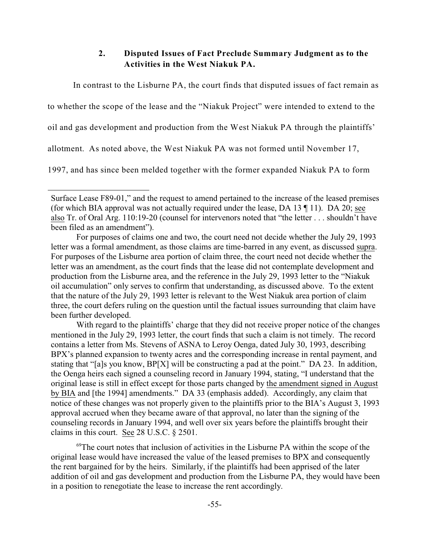# **2. Disputed Issues of Fact Preclude Summary Judgment as to the Activities in the West Niakuk PA.**

In contrast to the Lisburne PA, the court finds that disputed issues of fact remain as to whether the scope of the lease and the "Niakuk Project" were intended to extend to the oil and gas development and production from the West Niakuk PA through the plaintiffs' allotment. As noted above, the West Niakuk PA was not formed until November 17, 1997, and has since been melded together with the former expanded Niakuk PA to form

With regard to the plaintiffs' charge that they did not receive proper notice of the changes mentioned in the July 29, 1993 letter, the court finds that such a claim is not timely. The record contains a letter from Ms. Stevens of ASNA to Leroy Oenga, dated July 30, 1993, describing BPX's planned expansion to twenty acres and the corresponding increase in rental payment, and stating that "[a]s you know, BP[X] will be constructing a pad at the point." DA 23. In addition, the Oenga heirs each signed a counseling record in January 1994, stating, "I understand that the original lease is still in effect except for those parts changed by the amendment signed in August by BIA and [the 1994] amendments." DA 33 (emphasis added). Accordingly, any claim that notice of these changes was not properly given to the plaintiffs prior to the BIA's August 3, 1993 approval accrued when they became aware of that approval, no later than the signing of the counseling records in January 1994, and well over six years before the plaintiffs brought their claims in this court. See 28 U.S.C. § 2501.

 $<sup>69</sup>$ The court notes that inclusion of activities in the Lisburne PA within the scope of the</sup> original lease would have increased the value of the leased premises to BPX and consequently the rent bargained for by the heirs. Similarly, if the plaintiffs had been apprised of the later addition of oil and gas development and production from the Lisburne PA, they would have been in a position to renegotiate the lease to increase the rent accordingly.

Surface Lease F89-01," and the request to amend pertained to the increase of the leased premises (for which BIA approval was not actually required under the lease, DA 13 ¶ 11). DA 20; see also Tr. of Oral Arg. 110:19-20 (counsel for intervenors noted that "the letter . . . shouldn't have been filed as an amendment").

For purposes of claims one and two, the court need not decide whether the July 29, 1993 letter was a formal amendment, as those claims are time-barred in any event, as discussed supra. For purposes of the Lisburne area portion of claim three, the court need not decide whether the letter was an amendment, as the court finds that the lease did not contemplate development and production from the Lisburne area, and the reference in the July 29, 1993 letter to the "Niakuk oil accumulation" only serves to confirm that understanding, as discussed above. To the extent that the nature of the July 29, 1993 letter is relevant to the West Niakuk area portion of claim three, the court defers ruling on the question until the factual issues surrounding that claim have been further developed.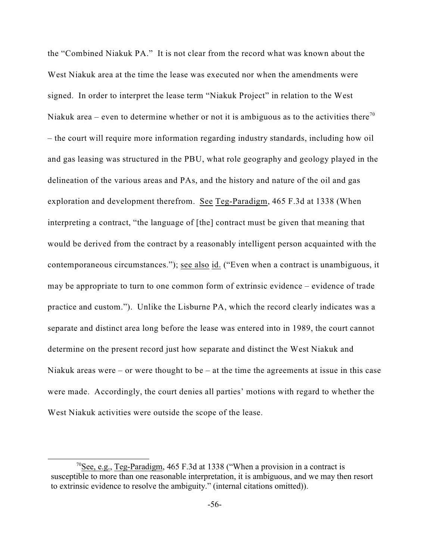the "Combined Niakuk PA." It is not clear from the record what was known about the West Niakuk area at the time the lease was executed nor when the amendments were signed. In order to interpret the lease term "Niakuk Project" in relation to the West Niakuk area – even to determine whether or not it is ambiguous as to the activities there<sup>70</sup> – the court will require more information regarding industry standards, including how oil and gas leasing was structured in the PBU, what role geography and geology played in the delineation of the various areas and PAs, and the history and nature of the oil and gas exploration and development therefrom. See Teg-Paradigm, 465 F.3d at 1338 (When interpreting a contract, "the language of [the] contract must be given that meaning that would be derived from the contract by a reasonably intelligent person acquainted with the contemporaneous circumstances."); see also id. ("Even when a contract is unambiguous, it may be appropriate to turn to one common form of extrinsic evidence – evidence of trade practice and custom."). Unlike the Lisburne PA, which the record clearly indicates was a separate and distinct area long before the lease was entered into in 1989, the court cannot determine on the present record just how separate and distinct the West Niakuk and Niakuk areas were – or were thought to be – at the time the agreements at issue in this case were made. Accordingly, the court denies all parties' motions with regard to whether the West Niakuk activities were outside the scope of the lease.

<sup>&</sup>lt;sup>70</sup>See, e.g., Teg-Paradigm, 465 F.3d at 1338 ("When a provision in a contract is susceptible to more than one reasonable interpretation, it is ambiguous, and we may then resort to extrinsic evidence to resolve the ambiguity." (internal citations omitted)).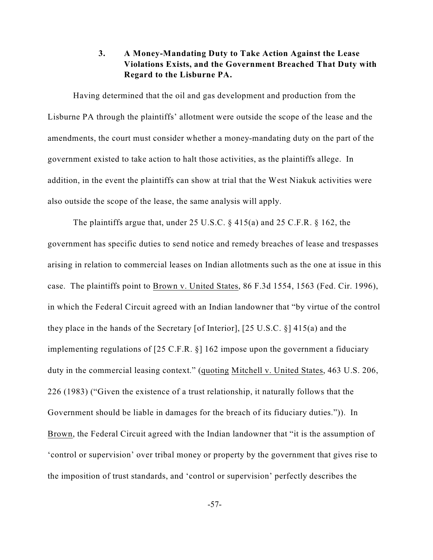# **3. A Money-Mandating Duty to Take Action Against the Lease Violations Exists, and the Government Breached That Duty with Regard to the Lisburne PA.**

Having determined that the oil and gas development and production from the Lisburne PA through the plaintiffs' allotment were outside the scope of the lease and the amendments, the court must consider whether a money-mandating duty on the part of the government existed to take action to halt those activities, as the plaintiffs allege. In addition, in the event the plaintiffs can show at trial that the West Niakuk activities were also outside the scope of the lease, the same analysis will apply.

The plaintiffs argue that, under 25 U.S.C.  $\S$  415(a) and 25 C.F.R.  $\S$  162, the government has specific duties to send notice and remedy breaches of lease and trespasses arising in relation to commercial leases on Indian allotments such as the one at issue in this case. The plaintiffs point to Brown v. United States, 86 F.3d 1554, 1563 (Fed. Cir. 1996), in which the Federal Circuit agreed with an Indian landowner that "by virtue of the control they place in the hands of the Secretary [of Interior], [25 U.S.C. §] 415(a) and the implementing regulations of [25 C.F.R. §] 162 impose upon the government a fiduciary duty in the commercial leasing context." (quoting Mitchell v. United States, 463 U.S. 206, 226 (1983) ("Given the existence of a trust relationship, it naturally follows that the Government should be liable in damages for the breach of its fiduciary duties.")). In Brown, the Federal Circuit agreed with the Indian landowner that "it is the assumption of 'control or supervision' over tribal money or property by the government that gives rise to the imposition of trust standards, and 'control or supervision' perfectly describes the

-57-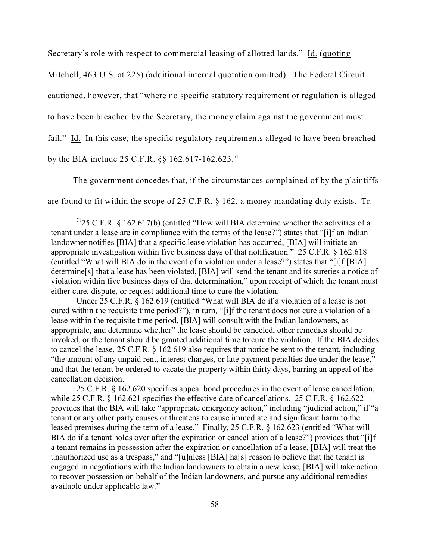Secretary's role with respect to commercial leasing of allotted lands." Id. (quoting

Mitchell, 463 U.S. at 225) (additional internal quotation omitted). The Federal Circuit

cautioned, however, that "where no specific statutory requirement or regulation is alleged

to have been breached by the Secretary, the money claim against the government must

fail." Id. In this case, the specific regulatory requirements alleged to have been breached

by the BIA include 25 C.F.R.  $\S$ § 162.617-162.623.<sup>71</sup>

The government concedes that, if the circumstances complained of by the plaintiffs

are found to fit within the scope of 25 C.F.R.  $\S$  162, a money-mandating duty exists. Tr.

Under 25 C.F.R. § 162.619 (entitled "What will BIA do if a violation of a lease is not cured within the requisite time period?"), in turn, "[i]f the tenant does not cure a violation of a lease within the requisite time period, [BIA] will consult with the Indian landowners, as appropriate, and determine whether" the lease should be canceled, other remedies should be invoked, or the tenant should be granted additional time to cure the violation. If the BIA decides to cancel the lease, 25 C.F.R. § 162.619 also requires that notice be sent to the tenant, including "the amount of any unpaid rent, interest charges, or late payment penalties due under the lease," and that the tenant be ordered to vacate the property within thirty days, barring an appeal of the cancellation decision.

25 C.F.R. § 162.620 specifies appeal bond procedures in the event of lease cancellation, while 25 C.F.R. § 162.621 specifies the effective date of cancellations. 25 C.F.R. § 162.622 provides that the BIA will take "appropriate emergency action," including "judicial action," if "a tenant or any other party causes or threatens to cause immediate and significant harm to the leased premises during the term of a lease." Finally, 25 C.F.R. § 162.623 (entitled "What will BIA do if a tenant holds over after the expiration or cancellation of a lease?") provides that "[i]f a tenant remains in possession after the expiration or cancellation of a lease, [BIA] will treat the unauthorized use as a trespass," and "[u]nless [BIA] ha[s] reason to believe that the tenant is engaged in negotiations with the Indian landowners to obtain a new lease, [BIA] will take action to recover possession on behalf of the Indian landowners, and pursue any additional remedies available under applicable law."

<sup>&</sup>lt;sup>71</sup>25 C.F.R. § 162.617(b) (entitled "How will BIA determine whether the activities of a tenant under a lease are in compliance with the terms of the lease?") states that "[i]f an Indian landowner notifies [BIA] that a specific lease violation has occurred, [BIA] will initiate an appropriate investigation within five business days of that notification." 25 C.F.R. § 162.618 (entitled "What will BIA do in the event of a violation under a lease?") states that "[i]f [BIA] determine[s] that a lease has been violated, [BIA] will send the tenant and its sureties a notice of violation within five business days of that determination," upon receipt of which the tenant must either cure, dispute, or request additional time to cure the violation.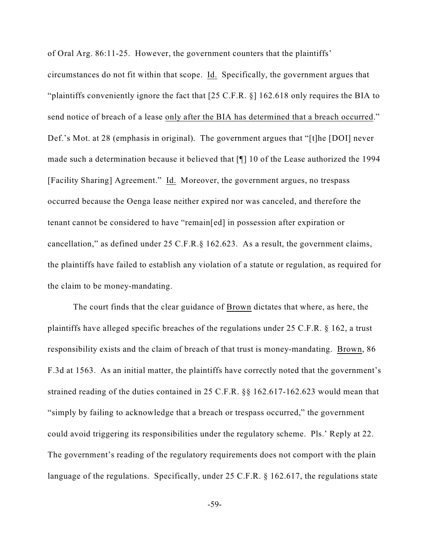of Oral Arg. 86:11-25. However, the government counters that the plaintiffs' circumstances do not fit within that scope. Id. Specifically, the government argues that "plaintiffs conveniently ignore the fact that [25 C.F.R. §] 162.618 only requires the BIA to send notice of breach of a lease only after the BIA has determined that a breach occurred." Def.'s Mot. at 28 (emphasis in original). The government argues that "[t]he [DOI] never made such a determination because it believed that [¶] 10 of the Lease authorized the 1994 [Facility Sharing] Agreement." Id. Moreover, the government argues, no trespass occurred because the Oenga lease neither expired nor was canceled, and therefore the tenant cannot be considered to have "remain[ed] in possession after expiration or cancellation," as defined under 25 C.F.R.§ 162.623. As a result, the government claims, the plaintiffs have failed to establish any violation of a statute or regulation, as required for the claim to be money-mandating.

The court finds that the clear guidance of Brown dictates that where, as here, the plaintiffs have alleged specific breaches of the regulations under 25 C.F.R. § 162, a trust responsibility exists and the claim of breach of that trust is money-mandating. Brown, 86 F.3d at 1563. As an initial matter, the plaintiffs have correctly noted that the government's strained reading of the duties contained in 25 C.F.R. §§ 162.617-162.623 would mean that "simply by failing to acknowledge that a breach or trespass occurred," the government could avoid triggering its responsibilities under the regulatory scheme. Pls.' Reply at 22. The government's reading of the regulatory requirements does not comport with the plain language of the regulations. Specifically, under 25 C.F.R. § 162.617, the regulations state

-59-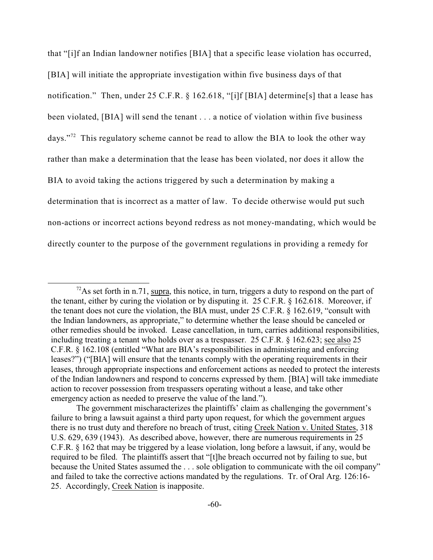that "[i]f an Indian landowner notifies [BIA] that a specific lease violation has occurred, [BIA] will initiate the appropriate investigation within five business days of that notification." Then, under 25 C.F.R. § 162.618, "[i]f [BIA] determine[s] that a lease has been violated, [BIA] will send the tenant . . . a notice of violation within five business days."<sup> $2$ </sup> This regulatory scheme cannot be read to allow the BIA to look the other way rather than make a determination that the lease has been violated, nor does it allow the BIA to avoid taking the actions triggered by such a determination by making a determination that is incorrect as a matter of law. To decide otherwise would put such non-actions or incorrect actions beyond redress as not money-mandating, which would be directly counter to the purpose of the government regulations in providing a remedy for

 $^{72}$ As set forth in n.71, supra, this notice, in turn, triggers a duty to respond on the part of the tenant, either by curing the violation or by disputing it. 25 C.F.R. § 162.618. Moreover, if the tenant does not cure the violation, the BIA must, under 25 C.F.R. § 162.619, "consult with the Indian landowners, as appropriate," to determine whether the lease should be canceled or other remedies should be invoked. Lease cancellation, in turn, carries additional responsibilities, including treating a tenant who holds over as a trespasser. 25 C.F.R. § 162.623; see also 25 C.F.R. § 162.108 (entitled "What are BIA's responsibilities in administering and enforcing leases?") ("[BIA] will ensure that the tenants comply with the operating requirements in their leases, through appropriate inspections and enforcement actions as needed to protect the interests of the Indian landowners and respond to concerns expressed by them. [BIA] will take immediate action to recover possession from trespassers operating without a lease, and take other emergency action as needed to preserve the value of the land.").

The government mischaracterizes the plaintiffs' claim as challenging the government's failure to bring a lawsuit against a third party upon request, for which the government argues there is no trust duty and therefore no breach of trust, citing Creek Nation v. United States, 318 U.S. 629, 639 (1943). As described above, however, there are numerous requirements in 25 C.F.R. § 162 that may be triggered by a lease violation, long before a lawsuit, if any, would be required to be filed. The plaintiffs assert that "[t]he breach occurred not by failing to sue, but because the United States assumed the . . . sole obligation to communicate with the oil company" and failed to take the corrective actions mandated by the regulations. Tr. of Oral Arg. 126:16- 25. Accordingly, Creek Nation is inapposite.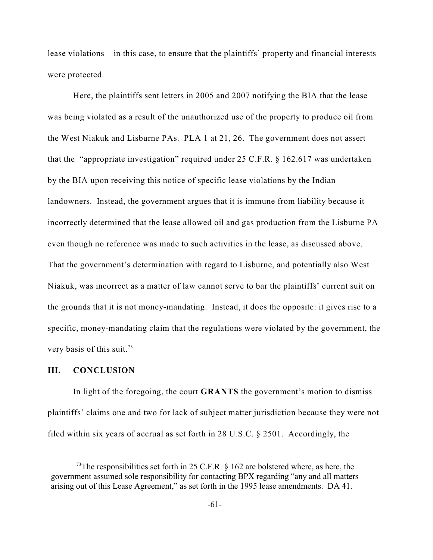lease violations – in this case, to ensure that the plaintiffs' property and financial interests were protected.

Here, the plaintiffs sent letters in 2005 and 2007 notifying the BIA that the lease was being violated as a result of the unauthorized use of the property to produce oil from the West Niakuk and Lisburne PAs. PLA 1 at 21, 26. The government does not assert that the "appropriate investigation" required under 25 C.F.R.  $\S$  162.617 was undertaken by the BIA upon receiving this notice of specific lease violations by the Indian landowners. Instead, the government argues that it is immune from liability because it incorrectly determined that the lease allowed oil and gas production from the Lisburne PA even though no reference was made to such activities in the lease, as discussed above. That the government's determination with regard to Lisburne, and potentially also West Niakuk, was incorrect as a matter of law cannot serve to bar the plaintiffs' current suit on the grounds that it is not money-mandating. Instead, it does the opposite: it gives rise to a specific, money-mandating claim that the regulations were violated by the government, the very basis of this suit.<sup>73</sup>

#### **III. CONCLUSION**

In light of the foregoing, the court **GRANTS** the government's motion to dismiss plaintiffs' claims one and two for lack of subject matter jurisdiction because they were not filed within six years of accrual as set forth in 28 U.S.C. § 2501. Accordingly, the

<sup>&</sup>lt;sup>73</sup>The responsibilities set forth in 25 C.F.R.  $\S$  162 are bolstered where, as here, the government assumed sole responsibility for contacting BPX regarding "any and all matters arising out of this Lease Agreement," as set forth in the 1995 lease amendments. DA 41.